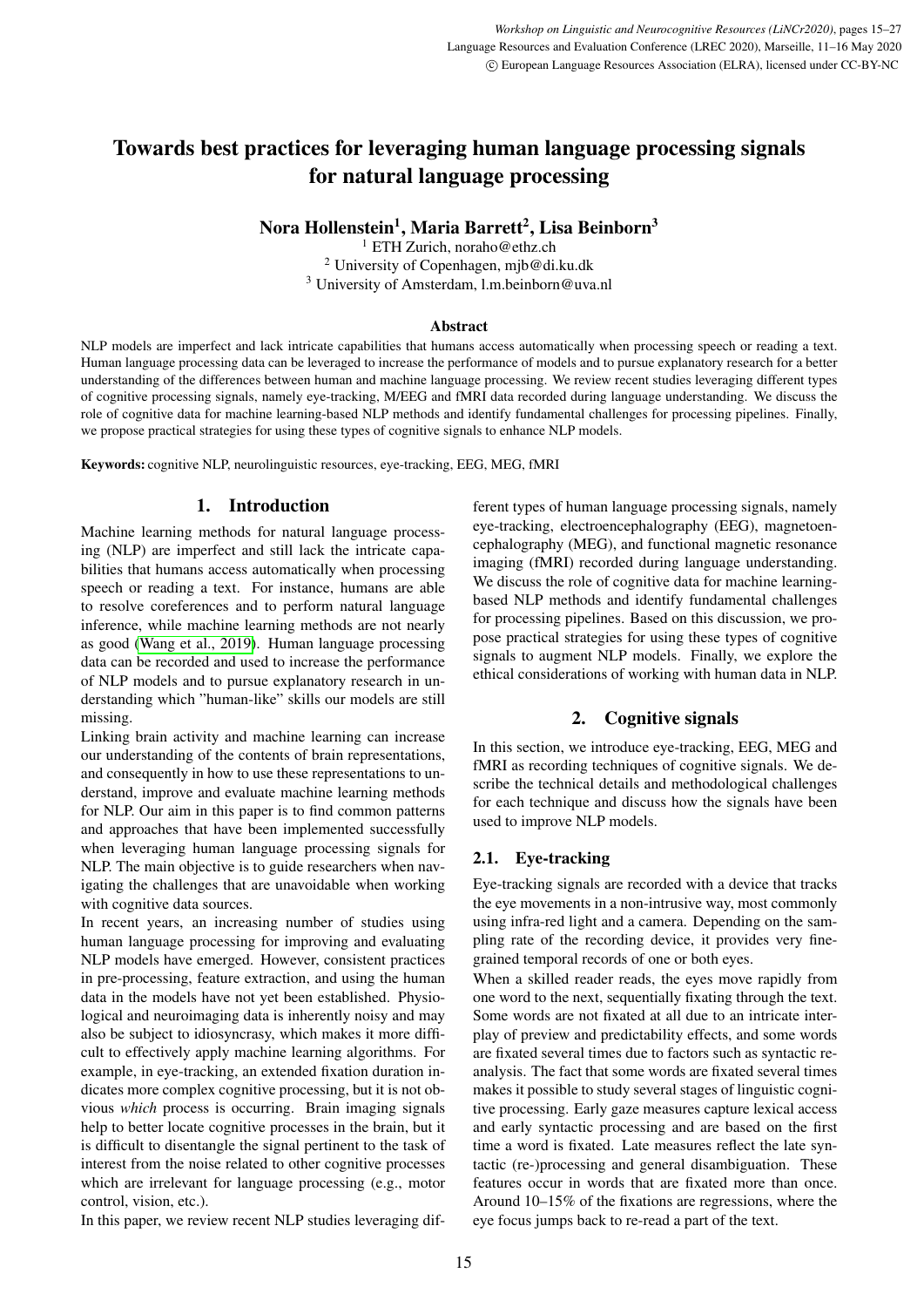# Towards best practices for leveraging human language processing signals for natural language processing

Nora Hollenstein<sup>1</sup>, Maria Barrett<sup>2</sup>, Lisa Beinborn<sup>3</sup>

<sup>1</sup> ETH Zurich, noraho@ethz.ch <sup>2</sup> University of Copenhagen, mjb@di.ku.dk <sup>3</sup> University of Amsterdam, l.m.beinborn@uva.nl

#### **Abstract**

NLP models are imperfect and lack intricate capabilities that humans access automatically when processing speech or reading a text. Human language processing data can be leveraged to increase the performance of models and to pursue explanatory research for a better understanding of the differences between human and machine language processing. We review recent studies leveraging different types of cognitive processing signals, namely eye-tracking, M/EEG and fMRI data recorded during language understanding. We discuss the role of cognitive data for machine learning-based NLP methods and identify fundamental challenges for processing pipelines. Finally, we propose practical strategies for using these types of cognitive signals to enhance NLP models.

Keywords: cognitive NLP, neurolinguistic resources, eye-tracking, EEG, MEG, fMRI

# 1. Introduction

Machine learning methods for natural language processing (NLP) are imperfect and still lack the intricate capabilities that humans access automatically when processing speech or reading a text. For instance, humans are able to resolve coreferences and to perform natural language inference, while machine learning methods are not nearly as good [\(Wang et al., 2019\)](#page-12-0). Human language processing data can be recorded and used to increase the performance of NLP models and to pursue explanatory research in understanding which "human-like" skills our models are still missing.

Linking brain activity and machine learning can increase our understanding of the contents of brain representations, and consequently in how to use these representations to understand, improve and evaluate machine learning methods for NLP. Our aim in this paper is to find common patterns and approaches that have been implemented successfully when leveraging human language processing signals for NLP. The main objective is to guide researchers when navigating the challenges that are unavoidable when working with cognitive data sources.

In recent years, an increasing number of studies using human language processing for improving and evaluating NLP models have emerged. However, consistent practices in pre-processing, feature extraction, and using the human data in the models have not yet been established. Physiological and neuroimaging data is inherently noisy and may also be subject to idiosyncrasy, which makes it more difficult to effectively apply machine learning algorithms. For example, in eye-tracking, an extended fixation duration indicates more complex cognitive processing, but it is not obvious *which* process is occurring. Brain imaging signals help to better locate cognitive processes in the brain, but it is difficult to disentangle the signal pertinent to the task of interest from the noise related to other cognitive processes which are irrelevant for language processing (e.g., motor control, vision, etc.).

In this paper, we review recent NLP studies leveraging dif-

ferent types of human language processing signals, namely eye-tracking, electroencephalography (EEG), magnetoencephalography (MEG), and functional magnetic resonance imaging (fMRI) recorded during language understanding. We discuss the role of cognitive data for machine learningbased NLP methods and identify fundamental challenges for processing pipelines. Based on this discussion, we propose practical strategies for using these types of cognitive signals to augment NLP models. Finally, we explore the ethical considerations of working with human data in NLP.

# 2. Cognitive signals

In this section, we introduce eye-tracking, EEG, MEG and fMRI as recording techniques of cognitive signals. We describe the technical details and methodological challenges for each technique and discuss how the signals have been used to improve NLP models.

## 2.1. Eye-tracking

Eye-tracking signals are recorded with a device that tracks the eye movements in a non-intrusive way, most commonly using infra-red light and a camera. Depending on the sampling rate of the recording device, it provides very finegrained temporal records of one or both eyes.

When a skilled reader reads, the eyes move rapidly from one word to the next, sequentially fixating through the text. Some words are not fixated at all due to an intricate interplay of preview and predictability effects, and some words are fixated several times due to factors such as syntactic reanalysis. The fact that some words are fixated several times makes it possible to study several stages of linguistic cognitive processing. Early gaze measures capture lexical access and early syntactic processing and are based on the first time a word is fixated. Late measures reflect the late syntactic (re-)processing and general disambiguation. These features occur in words that are fixated more than once. Around 10–15% of the fixations are regressions, where the eye focus jumps back to re-read a part of the text.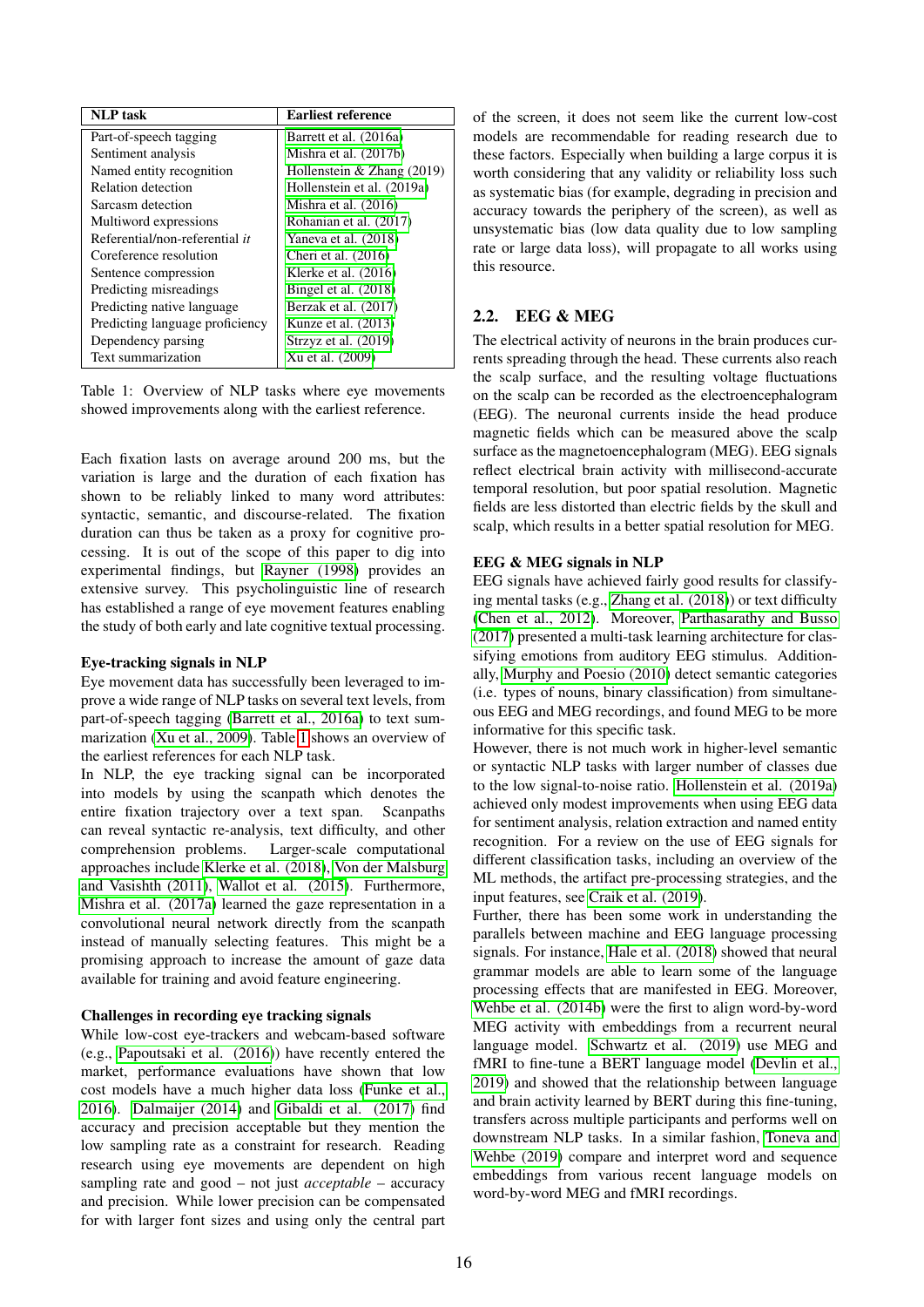| <b>NLP</b> task                 | <b>Earliest reference</b>    |
|---------------------------------|------------------------------|
| Part-of-speech tagging          | Barrett et al. (2016a)       |
| Sentiment analysis              | Mishra et al. (2017b)        |
| Named entity recognition        | Hollenstein $&$ Zhang (2019) |
| Relation detection              | Hollenstein et al. (2019a)   |
| Sarcasm detection               | Mishra et al. $(2016)$       |
| Multiword expressions           | Rohanian et al. (2017)       |
| Referential/non-referential it  | Yaneva et al. (2018)         |
| Coreference resolution          | Cheri et al. $(2016)$        |
| Sentence compression            | Klerke et al. $(2016)$       |
| Predicting misreadings          | Bingel et al. (2018)         |
| Predicting native language      | Berzak et al. (2017)         |
| Predicting language proficiency | Kunze et al. $(2013)$        |
| Dependency parsing              | Strzyz et al. $(2019)$       |
| Text summarization              | Xu et al. (2009)             |

<span id="page-1-0"></span>Table 1: Overview of NLP tasks where eye movements showed improvements along with the earliest reference.

Each fixation lasts on average around 200 ms, but the variation is large and the duration of each fixation has shown to be reliably linked to many word attributes: syntactic, semantic, and discourse-related. The fixation duration can thus be taken as a proxy for cognitive processing. It is out of the scope of this paper to dig into experimental findings, but [Rayner \(1998\)](#page-11-4) provides an extensive survey. This psycholinguistic line of research has established a range of eye movement features enabling the study of both early and late cognitive textual processing.

#### Eye-tracking signals in NLP

Eye movement data has successfully been leveraged to improve a wide range of NLP tasks on several text levels, from part-of-speech tagging [\(Barrett et al., 2016a\)](#page-8-0) to text summarization [\(Xu et al., 2009\)](#page-12-2). Table [1](#page-1-0) shows an overview of the earliest references for each NLP task.

In NLP, the eye tracking signal can be incorporated into models by using the scanpath which denotes the entire fixation trajectory over a text span. Scanpaths can reveal syntactic re-analysis, text difficulty, and other comprehension problems. Larger-scale computational approaches include [Klerke et al. \(2018\)](#page-10-3), [Von der Malsburg](#page-12-3) [and Vasishth \(2011\)](#page-12-3), [Wallot et al. \(2015\)](#page-12-4). Furthermore, [Mishra et al. \(2017a\)](#page-11-5) learned the gaze representation in a convolutional neural network directly from the scanpath instead of manually selecting features. This might be a promising approach to increase the amount of gaze data available for training and avoid feature engineering.

## Challenges in recording eye tracking signals

While low-cost eye-trackers and webcam-based software (e.g., [Papoutsaki et al. \(2016\)](#page-11-6)) have recently entered the market, performance evaluations have shown that low cost models have a much higher data loss [\(Funke et al.,](#page-9-0) [2016\)](#page-9-0). [Dalmaijer \(2014\)](#page-9-1) and [Gibaldi et al. \(2017\)](#page-9-2) find accuracy and precision acceptable but they mention the low sampling rate as a constraint for research. Reading research using eye movements are dependent on high sampling rate and good – not just *acceptable* – accuracy and precision. While lower precision can be compensated for with larger font sizes and using only the central part of the screen, it does not seem like the current low-cost models are recommendable for reading research due to these factors. Especially when building a large corpus it is worth considering that any validity or reliability loss such as systematic bias (for example, degrading in precision and accuracy towards the periphery of the screen), as well as unsystematic bias (low data quality due to low sampling rate or large data loss), will propagate to all works using this resource.

## <span id="page-1-1"></span>2.2. EEG & MEG

The electrical activity of neurons in the brain produces currents spreading through the head. These currents also reach the scalp surface, and the resulting voltage fluctuations on the scalp can be recorded as the electroencephalogram (EEG). The neuronal currents inside the head produce magnetic fields which can be measured above the scalp surface as the magnetoencephalogram (MEG). EEG signals reflect electrical brain activity with millisecond-accurate temporal resolution, but poor spatial resolution. Magnetic fields are less distorted than electric fields by the skull and scalp, which results in a better spatial resolution for MEG.

### EEG & MEG signals in NLP

EEG signals have achieved fairly good results for classifying mental tasks (e.g., [Zhang et al. \(2018\)](#page-12-5)) or text difficulty [\(Chen et al., 2012\)](#page-8-4). Moreover, [Parthasarathy and Busso](#page-11-7) [\(2017\)](#page-11-7) presented a multi-task learning architecture for classifying emotions from auditory EEG stimulus. Additionally, [Murphy and Poesio \(2010\)](#page-11-8) detect semantic categories (i.e. types of nouns, binary classification) from simultaneous EEG and MEG recordings, and found MEG to be more informative for this specific task.

However, there is not much work in higher-level semantic or syntactic NLP tasks with larger number of classes due to the low signal-to-noise ratio. [Hollenstein et al. \(2019a\)](#page-10-0) achieved only modest improvements when using EEG data for sentiment analysis, relation extraction and named entity recognition. For a review on the use of EEG signals for different classification tasks, including an overview of the ML methods, the artifact pre-processing strategies, and the input features, see [Craik et al. \(2019\)](#page-8-5).

Further, there has been some work in understanding the parallels between machine and EEG language processing signals. For instance, [Hale et al. \(2018\)](#page-9-3) showed that neural grammar models are able to learn some of the language processing effects that are manifested in EEG. Moreover, [Wehbe et al. \(2014b\)](#page-12-6) were the first to align word-by-word MEG activity with embeddings from a recurrent neural language model. [Schwartz et al. \(2019\)](#page-11-9) use MEG and fMRI to fine-tune a BERT language model [\(Devlin et al.,](#page-9-4) [2019\)](#page-9-4) and showed that the relationship between language and brain activity learned by BERT during this fine-tuning, transfers across multiple participants and performs well on downstream NLP tasks. In a similar fashion, [Toneva and](#page-12-7) [Wehbe \(2019\)](#page-12-7) compare and interpret word and sequence embeddings from various recent language models on word-by-word MEG and fMRI recordings.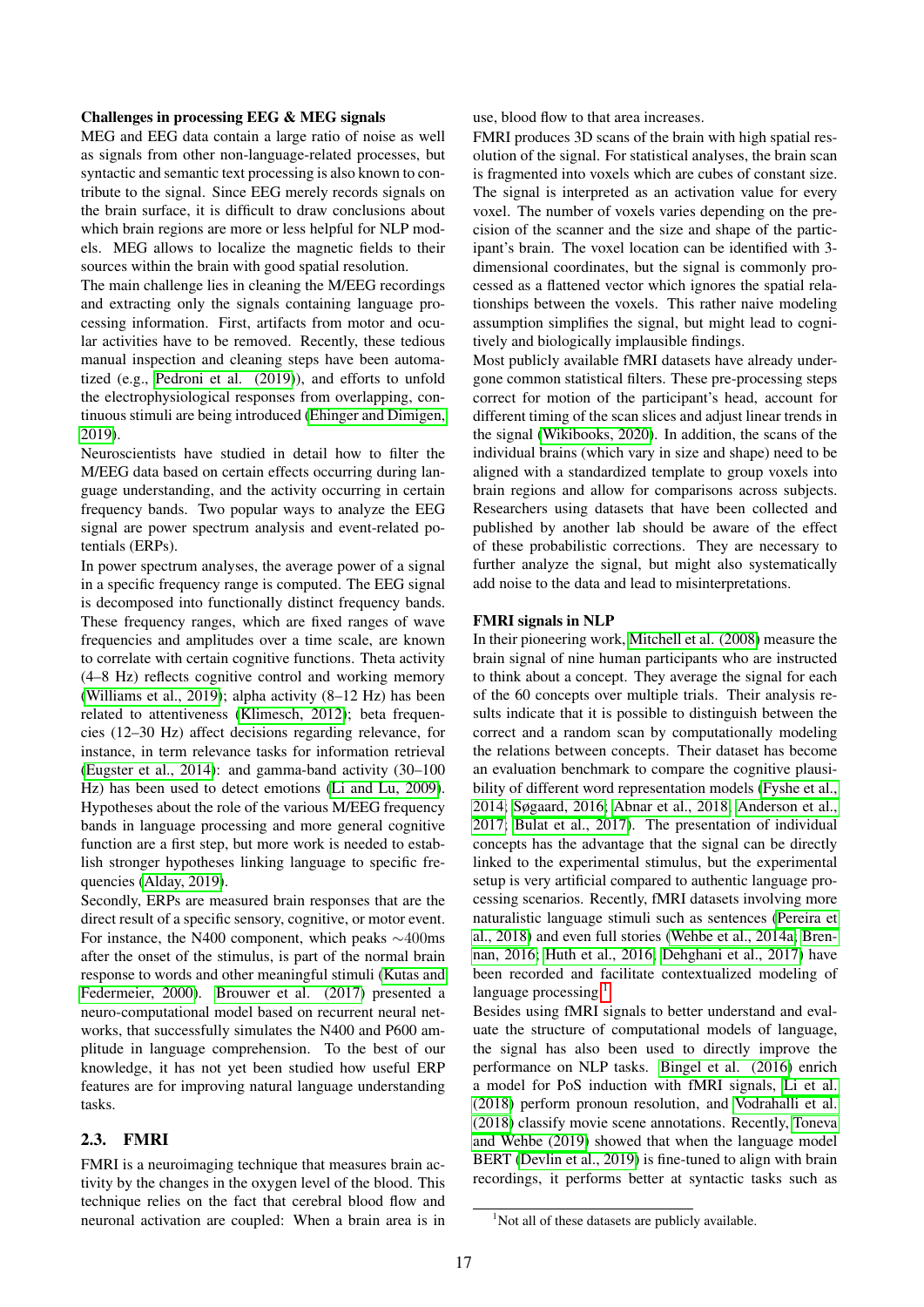#### Challenges in processing EEG & MEG signals

MEG and EEG data contain a large ratio of noise as well as signals from other non-language-related processes, but syntactic and semantic text processing is also known to contribute to the signal. Since EEG merely records signals on the brain surface, it is difficult to draw conclusions about which brain regions are more or less helpful for NLP models. MEG allows to localize the magnetic fields to their sources within the brain with good spatial resolution.

The main challenge lies in cleaning the M/EEG recordings and extracting only the signals containing language processing information. First, artifacts from motor and ocular activities have to be removed. Recently, these tedious manual inspection and cleaning steps have been automatized (e.g., [Pedroni et al. \(2019\)](#page-11-10)), and efforts to unfold the electrophysiological responses from overlapping, continuous stimuli are being introduced [\(Ehinger and Dimigen,](#page-9-5) [2019\)](#page-9-5).

Neuroscientists have studied in detail how to filter the M/EEG data based on certain effects occurring during language understanding, and the activity occurring in certain frequency bands. Two popular ways to analyze the EEG signal are power spectrum analysis and event-related potentials (ERPs).

In power spectrum analyses, the average power of a signal in a specific frequency range is computed. The EEG signal is decomposed into functionally distinct frequency bands. These frequency ranges, which are fixed ranges of wave frequencies and amplitudes over a time scale, are known to correlate with certain cognitive functions. Theta activity (4–8 Hz) reflects cognitive control and working memory [\(Williams et al., 2019\)](#page-12-8); alpha activity (8–12 Hz) has been related to attentiveness [\(Klimesch, 2012\)](#page-10-4); beta frequencies (12–30 Hz) affect decisions regarding relevance, for instance, in term relevance tasks for information retrieval [\(Eugster et al., 2014\)](#page-9-6): and gamma-band activity (30–100 Hz) has been used to detect emotions [\(Li and Lu, 2009\)](#page-10-5). Hypotheses about the role of the various M/EEG frequency bands in language processing and more general cognitive function are a first step, but more work is needed to establish stronger hypotheses linking language to specific frequencies [\(Alday, 2019\)](#page-8-6).

Secondly, ERPs are measured brain responses that are the direct result of a specific sensory, cognitive, or motor event. For instance, the N400 component, which peaks ∼400ms after the onset of the stimulus, is part of the normal brain response to words and other meaningful stimuli [\(Kutas and](#page-10-6) [Federmeier, 2000\)](#page-10-6). [Brouwer et al. \(2017\)](#page-8-7) presented a neuro-computational model based on recurrent neural networks, that successfully simulates the N400 and P600 amplitude in language comprehension. To the best of our knowledge, it has not yet been studied how useful ERP features are for improving natural language understanding tasks.

## <span id="page-2-1"></span>2.3. FMRI

FMRI is a neuroimaging technique that measures brain activity by the changes in the oxygen level of the blood. This technique relies on the fact that cerebral blood flow and neuronal activation are coupled: When a brain area is in use, blood flow to that area increases.

FMRI produces 3D scans of the brain with high spatial resolution of the signal. For statistical analyses, the brain scan is fragmented into voxels which are cubes of constant size. The signal is interpreted as an activation value for every voxel. The number of voxels varies depending on the precision of the scanner and the size and shape of the participant's brain. The voxel location can be identified with 3 dimensional coordinates, but the signal is commonly processed as a flattened vector which ignores the spatial relationships between the voxels. This rather naive modeling assumption simplifies the signal, but might lead to cognitively and biologically implausible findings.

Most publicly available fMRI datasets have already undergone common statistical filters. These pre-processing steps correct for motion of the participant's head, account for different timing of the scan slices and adjust linear trends in the signal [\(Wikibooks, 2020\)](#page-12-9). In addition, the scans of the individual brains (which vary in size and shape) need to be aligned with a standardized template to group voxels into brain regions and allow for comparisons across subjects. Researchers using datasets that have been collected and published by another lab should be aware of the effect of these probabilistic corrections. They are necessary to further analyze the signal, but might also systematically add noise to the data and lead to misinterpretations.

#### FMRI signals in NLP

In their pioneering work, [Mitchell et al. \(2008\)](#page-11-11) measure the brain signal of nine human participants who are instructed to think about a concept. They average the signal for each of the 60 concepts over multiple trials. Their analysis results indicate that it is possible to distinguish between the correct and a random scan by computationally modeling the relations between concepts. Their dataset has become an evaluation benchmark to compare the cognitive plausibility of different word representation models [\(Fyshe et al.,](#page-9-7) [2014;](#page-9-7) [Søgaard, 2016;](#page-11-12) [Abnar et al., 2018;](#page-8-8) [Anderson et al.,](#page-8-9) [2017;](#page-8-9) [Bulat et al., 2017\)](#page-8-10). The presentation of individual concepts has the advantage that the signal can be directly linked to the experimental stimulus, but the experimental setup is very artificial compared to authentic language processing scenarios. Recently, fMRI datasets involving more naturalistic language stimuli such as sentences [\(Pereira et](#page-11-13) [al., 2018\)](#page-11-13) and even full stories [\(Wehbe et al., 2014a;](#page-12-10) [Bren](#page-8-11)[nan, 2016;](#page-8-11) [Huth et al., 2016;](#page-10-7) [Dehghani et al., 2017\)](#page-9-8) have been recorded and facilitate contextualized modeling of language processing.<sup>[1](#page-2-0)</sup>

Besides using fMRI signals to better understand and evaluate the structure of computational models of language, the signal has also been used to directly improve the performance on NLP tasks. [Bingel et al. \(2016\)](#page-8-12) enrich a model for PoS induction with fMRI signals, [Li et al.](#page-10-8) [\(2018\)](#page-10-8) perform pronoun resolution, and [Vodrahalli et al.](#page-12-11) [\(2018\)](#page-12-11) classify movie scene annotations. Recently, [Toneva](#page-12-7) [and Wehbe \(2019\)](#page-12-7) showed that when the language model BERT [\(Devlin et al., 2019\)](#page-9-4) is fine-tuned to align with brain recordings, it performs better at syntactic tasks such as

<span id="page-2-0"></span><sup>&</sup>lt;sup>1</sup>Not all of these datasets are publicly available.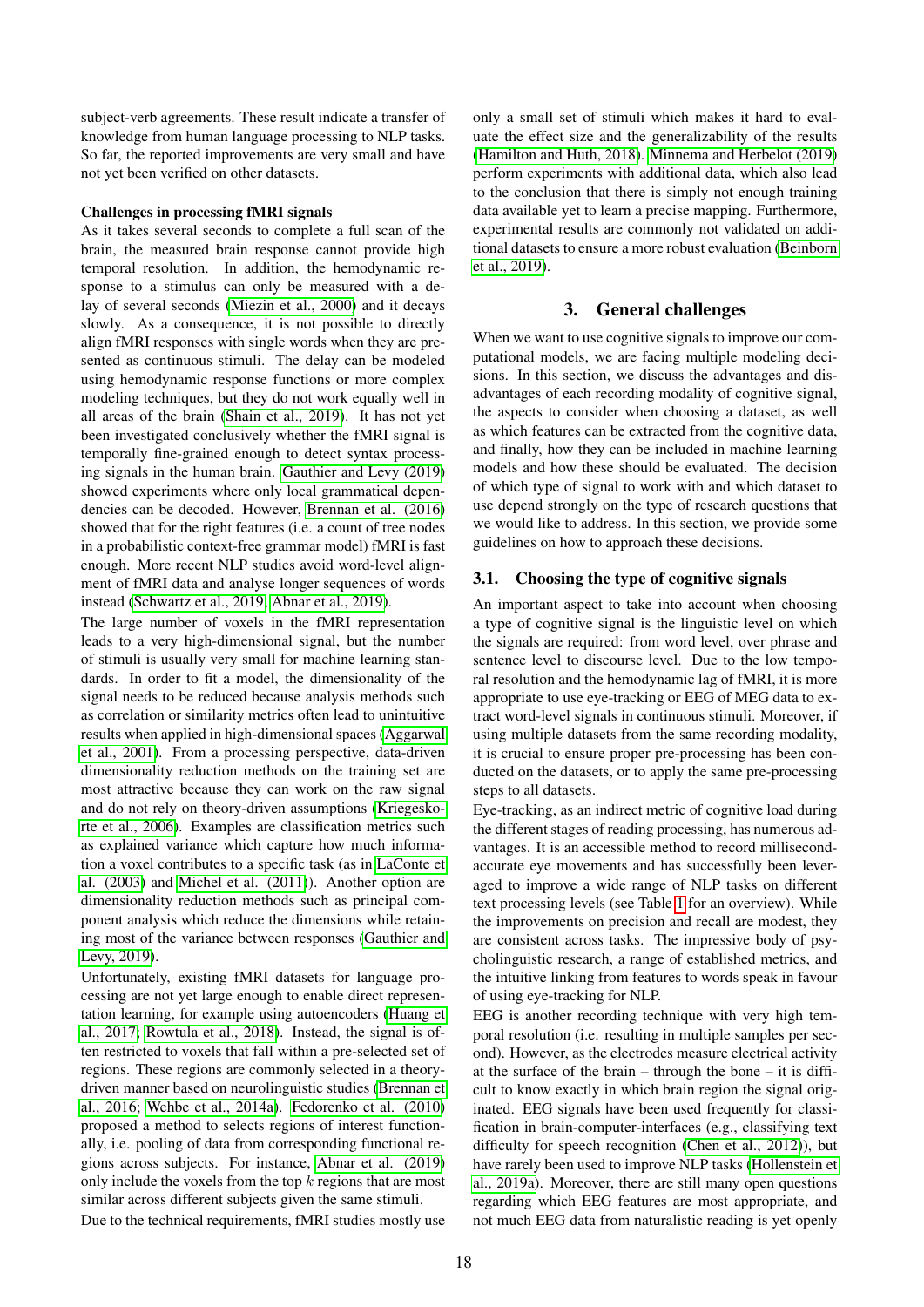subject-verb agreements. These result indicate a transfer of knowledge from human language processing to NLP tasks. So far, the reported improvements are very small and have not yet been verified on other datasets.

#### Challenges in processing fMRI signals

As it takes several seconds to complete a full scan of the brain, the measured brain response cannot provide high temporal resolution. In addition, the hemodynamic response to a stimulus can only be measured with a delay of several seconds [\(Miezin et al., 2000\)](#page-11-14) and it decays slowly. As a consequence, it is not possible to directly align fMRI responses with single words when they are presented as continuous stimuli. The delay can be modeled using hemodynamic response functions or more complex modeling techniques, but they do not work equally well in all areas of the brain [\(Shain et al., 2019\)](#page-11-15). It has not yet been investigated conclusively whether the fMRI signal is temporally fine-grained enough to detect syntax processing signals in the human brain. [Gauthier and Levy \(2019\)](#page-9-9) showed experiments where only local grammatical dependencies can be decoded. However, [Brennan et al. \(2016\)](#page-8-13) showed that for the right features (i.e. a count of tree nodes in a probabilistic context-free grammar model) fMRI is fast enough. More recent NLP studies avoid word-level alignment of fMRI data and analyse longer sequences of words instead [\(Schwartz et al., 2019;](#page-11-9) [Abnar et al., 2019\)](#page-8-14).

The large number of voxels in the fMRI representation leads to a very high-dimensional signal, but the number of stimuli is usually very small for machine learning standards. In order to fit a model, the dimensionality of the signal needs to be reduced because analysis methods such as correlation or similarity metrics often lead to unintuitive results when applied in high-dimensional spaces [\(Aggarwal](#page-8-15) [et al., 2001\)](#page-8-15). From a processing perspective, data-driven dimensionality reduction methods on the training set are most attractive because they can work on the raw signal and do not rely on theory-driven assumptions [\(Kriegesko](#page-10-9)[rte et al., 2006\)](#page-10-9). Examples are classification metrics such as explained variance which capture how much information a voxel contributes to a specific task (as in [LaConte et](#page-10-10) [al. \(2003\)](#page-10-10) and [Michel et al. \(2011\)](#page-11-16)). Another option are dimensionality reduction methods such as principal component analysis which reduce the dimensions while retaining most of the variance between responses [\(Gauthier and](#page-9-9) [Levy, 2019\)](#page-9-9).

Unfortunately, existing fMRI datasets for language processing are not yet large enough to enable direct representation learning, for example using autoencoders [\(Huang et](#page-10-11) [al., 2017;](#page-10-11) [Rowtula et al., 2018\)](#page-11-17). Instead, the signal is often restricted to voxels that fall within a pre-selected set of regions. These regions are commonly selected in a theorydriven manner based on neurolinguistic studies [\(Brennan et](#page-8-13) [al., 2016;](#page-8-13) [Wehbe et al., 2014a\)](#page-12-10). [Fedorenko et al. \(2010\)](#page-9-10) proposed a method to selects regions of interest functionally, i.e. pooling of data from corresponding functional regions across subjects. For instance, [Abnar et al. \(2019\)](#page-8-14) only include the voxels from the top  $k$  regions that are most similar across different subjects given the same stimuli.

Due to the technical requirements, fMRI studies mostly use

only a small set of stimuli which makes it hard to evaluate the effect size and the generalizability of the results [\(Hamilton and Huth, 2018\)](#page-9-11). [Minnema and Herbelot \(2019\)](#page-11-18) perform experiments with additional data, which also lead to the conclusion that there is simply not enough training data available yet to learn a precise mapping. Furthermore, experimental results are commonly not validated on additional datasets to ensure a more robust evaluation [\(Beinborn](#page-8-16) [et al., 2019\)](#page-8-16).

## 3. General challenges

When we want to use cognitive signals to improve our computational models, we are facing multiple modeling decisions. In this section, we discuss the advantages and disadvantages of each recording modality of cognitive signal, the aspects to consider when choosing a dataset, as well as which features can be extracted from the cognitive data, and finally, how they can be included in machine learning models and how these should be evaluated. The decision of which type of signal to work with and which dataset to use depend strongly on the type of research questions that we would like to address. In this section, we provide some guidelines on how to approach these decisions.

#### 3.1. Choosing the type of cognitive signals

An important aspect to take into account when choosing a type of cognitive signal is the linguistic level on which the signals are required: from word level, over phrase and sentence level to discourse level. Due to the low temporal resolution and the hemodynamic lag of fMRI, it is more appropriate to use eye-tracking or EEG of MEG data to extract word-level signals in continuous stimuli. Moreover, if using multiple datasets from the same recording modality, it is crucial to ensure proper pre-processing has been conducted on the datasets, or to apply the same pre-processing steps to all datasets.

Eye-tracking, as an indirect metric of cognitive load during the different stages of reading processing, has numerous advantages. It is an accessible method to record millisecondaccurate eye movements and has successfully been leveraged to improve a wide range of NLP tasks on different text processing levels (see Table [1](#page-1-0) for an overview). While the improvements on precision and recall are modest, they are consistent across tasks. The impressive body of psycholinguistic research, a range of established metrics, and the intuitive linking from features to words speak in favour of using eye-tracking for NLP.

EEG is another recording technique with very high temporal resolution (i.e. resulting in multiple samples per second). However, as the electrodes measure electrical activity at the surface of the brain – through the bone – it is difficult to know exactly in which brain region the signal originated. EEG signals have been used frequently for classification in brain-computer-interfaces (e.g., classifying text difficulty for speech recognition [\(Chen et al., 2012\)](#page-8-4)), but have rarely been used to improve NLP tasks [\(Hollenstein et](#page-10-0) [al., 2019a\)](#page-10-0). Moreover, there are still many open questions regarding which EEG features are most appropriate, and not much EEG data from naturalistic reading is yet openly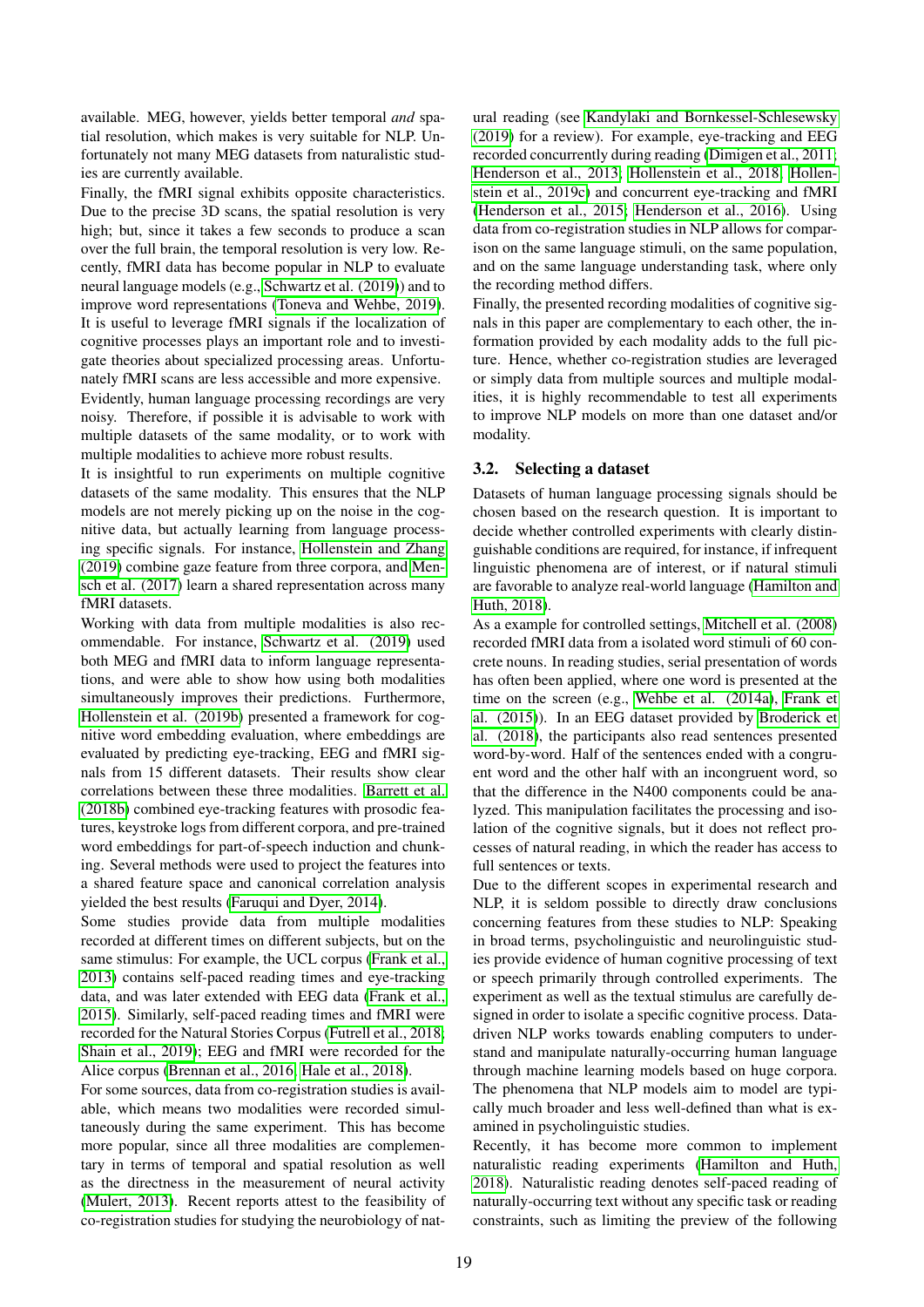available. MEG, however, yields better temporal *and* spatial resolution, which makes is very suitable for NLP. Unfortunately not many MEG datasets from naturalistic studies are currently available.

Finally, the fMRI signal exhibits opposite characteristics. Due to the precise 3D scans, the spatial resolution is very high; but, since it takes a few seconds to produce a scan over the full brain, the temporal resolution is very low. Recently, fMRI data has become popular in NLP to evaluate neural language models (e.g., [Schwartz et al. \(2019\)](#page-11-9)) and to improve word representations [\(Toneva and Wehbe, 2019\)](#page-12-7). It is useful to leverage fMRI signals if the localization of cognitive processes plays an important role and to investigate theories about specialized processing areas. Unfortunately fMRI scans are less accessible and more expensive. Evidently, human language processing recordings are very noisy. Therefore, if possible it is advisable to work with multiple datasets of the same modality, or to work with multiple modalities to achieve more robust results.

It is insightful to run experiments on multiple cognitive datasets of the same modality. This ensures that the NLP models are not merely picking up on the noise in the cognitive data, but actually learning from language processing specific signals. For instance, [Hollenstein and Zhang](#page-10-12) [\(2019\)](#page-10-12) combine gaze feature from three corpora, and [Men](#page-10-13)[sch et al. \(2017\)](#page-10-13) learn a shared representation across many fMRI datasets.

Working with data from multiple modalities is also recommendable. For instance, [Schwartz et al. \(2019\)](#page-11-9) used both MEG and fMRI data to inform language representations, and were able to show how using both modalities simultaneously improves their predictions. Furthermore, [Hollenstein et al. \(2019b\)](#page-10-14) presented a framework for cognitive word embedding evaluation, where embeddings are evaluated by predicting eye-tracking, EEG and fMRI signals from 15 different datasets. Their results show clear correlations between these three modalities. [Barrett et al.](#page-8-17) [\(2018b\)](#page-8-17) combined eye-tracking features with prosodic features, keystroke logs from different corpora, and pre-trained word embeddings for part-of-speech induction and chunking. Several methods were used to project the features into a shared feature space and canonical correlation analysis yielded the best results [\(Faruqui and Dyer, 2014\)](#page-9-12).

Some studies provide data from multiple modalities recorded at different times on different subjects, but on the same stimulus: For example, the UCL corpus [\(Frank et al.,](#page-9-13) [2013\)](#page-9-13) contains self-paced reading times and eye-tracking data, and was later extended with EEG data [\(Frank et al.,](#page-9-14) [2015\)](#page-9-14). Similarly, self-paced reading times and fMRI were recorded for the Natural Stories Corpus [\(Futrell et al., 2018;](#page-9-15) [Shain et al., 2019\)](#page-11-15); EEG and fMRI were recorded for the Alice corpus [\(Brennan et al., 2016;](#page-8-13) [Hale et al., 2018\)](#page-9-3).

For some sources, data from co-registration studies is available, which means two modalities were recorded simultaneously during the same experiment. This has become more popular, since all three modalities are complementary in terms of temporal and spatial resolution as well as the directness in the measurement of neural activity [\(Mulert, 2013\)](#page-11-19). Recent reports attest to the feasibility of co-registration studies for studying the neurobiology of natural reading (see [Kandylaki and Bornkessel-Schlesewsky](#page-10-15) [\(2019\)](#page-10-15) for a review). For example, eye-tracking and EEG recorded concurrently during reading [\(Dimigen et al., 2011;](#page-9-16) [Henderson et al., 2013;](#page-9-17) [Hollenstein et al., 2018;](#page-10-16) [Hollen](#page-10-17)[stein et al., 2019c\)](#page-10-17) and concurrent eye-tracking and fMRI [\(Henderson et al., 2015;](#page-9-18) [Henderson et al., 2016\)](#page-10-18). Using data from co-registration studies in NLP allows for comparison on the same language stimuli, on the same population, and on the same language understanding task, where only the recording method differs.

Finally, the presented recording modalities of cognitive signals in this paper are complementary to each other, the information provided by each modality adds to the full picture. Hence, whether co-registration studies are leveraged or simply data from multiple sources and multiple modalities, it is highly recommendable to test all experiments to improve NLP models on more than one dataset and/or modality.

### 3.2. Selecting a dataset

Datasets of human language processing signals should be chosen based on the research question. It is important to decide whether controlled experiments with clearly distinguishable conditions are required, for instance, if infrequent linguistic phenomena are of interest, or if natural stimuli are favorable to analyze real-world language [\(Hamilton and](#page-9-11) [Huth, 2018\)](#page-9-11).

As a example for controlled settings, [Mitchell et al. \(2008\)](#page-11-11) recorded fMRI data from a isolated word stimuli of 60 concrete nouns. In reading studies, serial presentation of words has often been applied, where one word is presented at the time on the screen (e.g., [Wehbe et al. \(2014a\)](#page-12-10), [Frank et](#page-9-14) [al. \(2015\)](#page-9-14)). In an EEG dataset provided by [Broderick et](#page-8-18) [al. \(2018\)](#page-8-18), the participants also read sentences presented word-by-word. Half of the sentences ended with a congruent word and the other half with an incongruent word, so that the difference in the N400 components could be analyzed. This manipulation facilitates the processing and isolation of the cognitive signals, but it does not reflect processes of natural reading, in which the reader has access to full sentences or texts.

Due to the different scopes in experimental research and NLP, it is seldom possible to directly draw conclusions concerning features from these studies to NLP: Speaking in broad terms, psycholinguistic and neurolinguistic studies provide evidence of human cognitive processing of text or speech primarily through controlled experiments. The experiment as well as the textual stimulus are carefully designed in order to isolate a specific cognitive process. Datadriven NLP works towards enabling computers to understand and manipulate naturally-occurring human language through machine learning models based on huge corpora. The phenomena that NLP models aim to model are typically much broader and less well-defined than what is examined in psycholinguistic studies.

Recently, it has become more common to implement naturalistic reading experiments [\(Hamilton and Huth,](#page-9-11) [2018\)](#page-9-11). Naturalistic reading denotes self-paced reading of naturally-occurring text without any specific task or reading constraints, such as limiting the preview of the following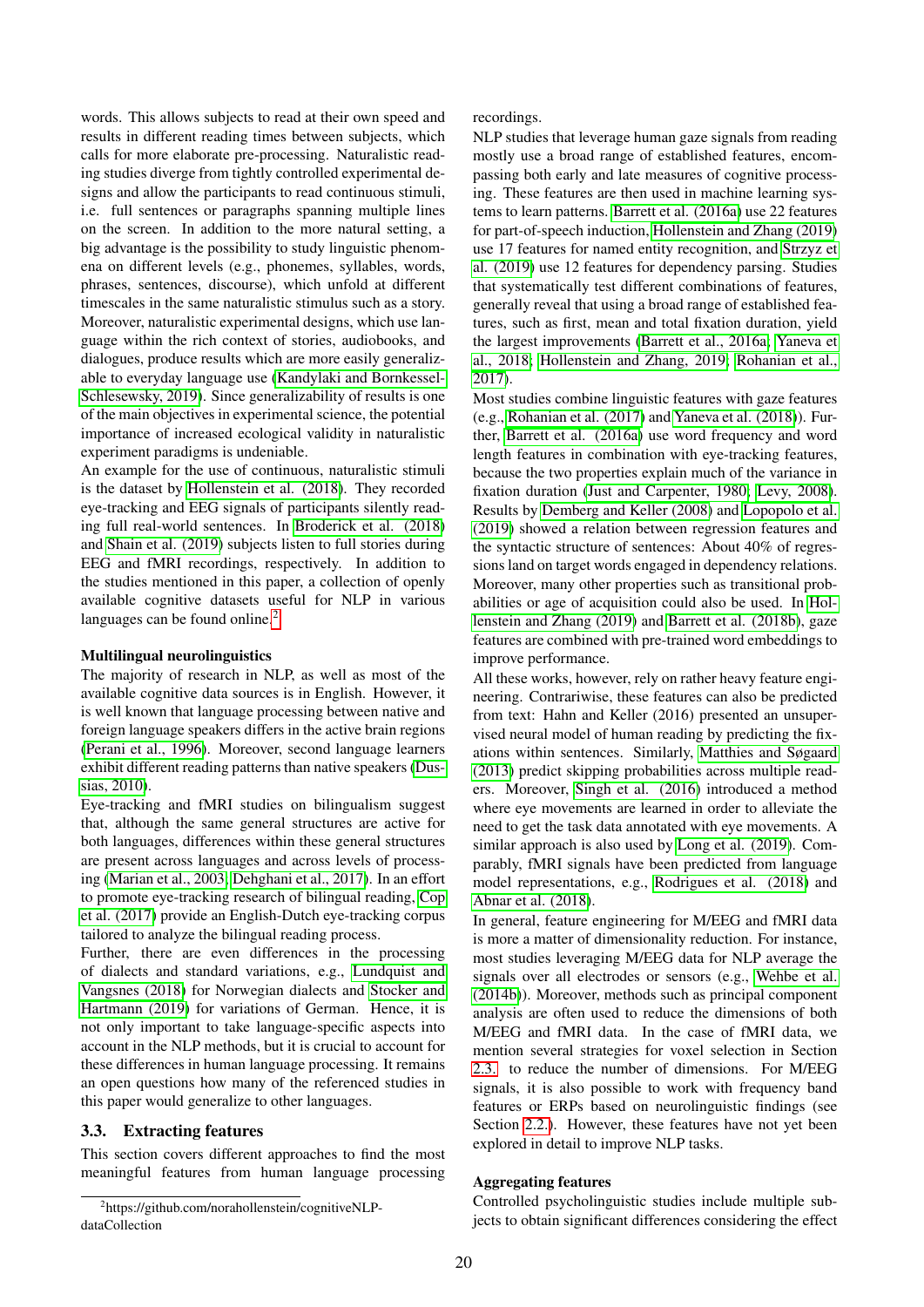words. This allows subjects to read at their own speed and results in different reading times between subjects, which calls for more elaborate pre-processing. Naturalistic reading studies diverge from tightly controlled experimental designs and allow the participants to read continuous stimuli, i.e. full sentences or paragraphs spanning multiple lines on the screen. In addition to the more natural setting, a big advantage is the possibility to study linguistic phenomena on different levels (e.g., phonemes, syllables, words, phrases, sentences, discourse), which unfold at different timescales in the same naturalistic stimulus such as a story. Moreover, naturalistic experimental designs, which use language within the rich context of stories, audiobooks, and dialogues, produce results which are more easily generalizable to everyday language use [\(Kandylaki and Bornkessel-](#page-10-15)[Schlesewsky, 2019\)](#page-10-15). Since generalizability of results is one of the main objectives in experimental science, the potential importance of increased ecological validity in naturalistic experiment paradigms is undeniable.

An example for the use of continuous, naturalistic stimuli is the dataset by [Hollenstein et al. \(2018\)](#page-10-16). They recorded eye-tracking and EEG signals of participants silently reading full real-world sentences. In [Broderick et al. \(2018\)](#page-8-18) and [Shain et al. \(2019\)](#page-11-15) subjects listen to full stories during EEG and fMRI recordings, respectively. In addition to the studies mentioned in this paper, a collection of openly available cognitive datasets useful for NLP in various languages can be found online.<sup>[2](#page-5-0)</sup>

#### Multilingual neurolinguistics

The majority of research in NLP, as well as most of the available cognitive data sources is in English. However, it is well known that language processing between native and foreign language speakers differs in the active brain regions [\(Perani et al., 1996\)](#page-11-20). Moreover, second language learners exhibit different reading patterns than native speakers [\(Dus](#page-9-19)[sias, 2010\)](#page-9-19).

Eye-tracking and fMRI studies on bilingualism suggest that, although the same general structures are active for both languages, differences within these general structures are present across languages and across levels of processing [\(Marian et al., 2003;](#page-10-19) [Dehghani et al., 2017\)](#page-9-8). In an effort to promote eye-tracking research of bilingual reading, [Cop](#page-8-19) [et al. \(2017\)](#page-8-19) provide an English-Dutch eye-tracking corpus tailored to analyze the bilingual reading process.

Further, there are even differences in the processing of dialects and standard variations, e.g., [Lundquist and](#page-10-20) [Vangsnes \(2018\)](#page-10-20) for Norwegian dialects and [Stocker and](#page-11-21) [Hartmann \(2019\)](#page-11-21) for variations of German. Hence, it is not only important to take language-specific aspects into account in the NLP methods, but it is crucial to account for these differences in human language processing. It remains an open questions how many of the referenced studies in this paper would generalize to other languages.

# 3.3. Extracting features

This section covers different approaches to find the most meaningful features from human language processing recordings.

NLP studies that leverage human gaze signals from reading mostly use a broad range of established features, encompassing both early and late measures of cognitive processing. These features are then used in machine learning systems to learn patterns. [Barrett et al. \(2016a\)](#page-8-0) use 22 features for part-of-speech induction, [Hollenstein and Zhang \(2019\)](#page-10-12) use 17 features for named entity recognition, and [Strzyz et](#page-11-3) [al. \(2019\)](#page-11-3) use 12 features for dependency parsing. Studies that systematically test different combinations of features, generally reveal that using a broad range of established features, such as first, mean and total fixation duration, yield the largest improvements [\(Barrett et al., 2016a;](#page-8-0) [Yaneva et](#page-12-1) [al., 2018;](#page-12-1) [Hollenstein and Zhang, 2019;](#page-10-12) [Rohanian et al.,](#page-11-2) [2017\)](#page-11-2).

Most studies combine linguistic features with gaze features (e.g., [Rohanian et al. \(2017\)](#page-11-2) and [Yaneva et al. \(2018\)](#page-12-1)). Further, [Barrett et al. \(2016a\)](#page-8-0) use word frequency and word length features in combination with eye-tracking features, because the two properties explain much of the variance in fixation duration [\(Just and Carpenter, 1980;](#page-10-21) [Levy, 2008\)](#page-10-22). Results by [Demberg and Keller \(2008\)](#page-9-20) and [Lopopolo et al.](#page-10-23) [\(2019\)](#page-10-23) showed a relation between regression features and the syntactic structure of sentences: About 40% of regressions land on target words engaged in dependency relations. Moreover, many other properties such as transitional probabilities or age of acquisition could also be used. In [Hol](#page-10-12)[lenstein and Zhang \(2019\)](#page-10-12) and [Barrett et al. \(2018b\)](#page-8-17), gaze features are combined with pre-trained word embeddings to improve performance.

All these works, however, rely on rather heavy feature engineering. Contrariwise, these features can also be predicted from text: Hahn and Keller (2016) presented an unsupervised neural model of human reading by predicting the fixations within sentences. Similarly, [Matthies and Søgaard](#page-10-24) [\(2013\)](#page-10-24) predict skipping probabilities across multiple readers. Moreover, [Singh et al. \(2016\)](#page-11-22) introduced a method where eye movements are learned in order to alleviate the need to get the task data annotated with eye movements. A similar approach is also used by [Long et al. \(2019\)](#page-10-25). Comparably, fMRI signals have been predicted from language model representations, e.g., [Rodrigues et al. \(2018\)](#page-11-23) and [Abnar et al. \(2018\)](#page-8-8).

In general, feature engineering for M/EEG and fMRI data is more a matter of dimensionality reduction. For instance, most studies leveraging M/EEG data for NLP average the signals over all electrodes or sensors (e.g., [Wehbe et al.](#page-12-6) [\(2014b\)](#page-12-6)). Moreover, methods such as principal component analysis are often used to reduce the dimensions of both M/EEG and fMRI data. In the case of fMRI data, we mention several strategies for voxel selection in Section [2.3.](#page-2-1) to reduce the number of dimensions. For M/EEG signals, it is also possible to work with frequency band features or ERPs based on neurolinguistic findings (see Section [2.2.\)](#page-1-1). However, these features have not yet been explored in detail to improve NLP tasks.

#### Aggregating features

Controlled psycholinguistic studies include multiple subjects to obtain significant differences considering the effect

<span id="page-5-0"></span><sup>&</sup>lt;sup>2</sup>https://github.com/norahollenstein/cognitiveNLPdataCollection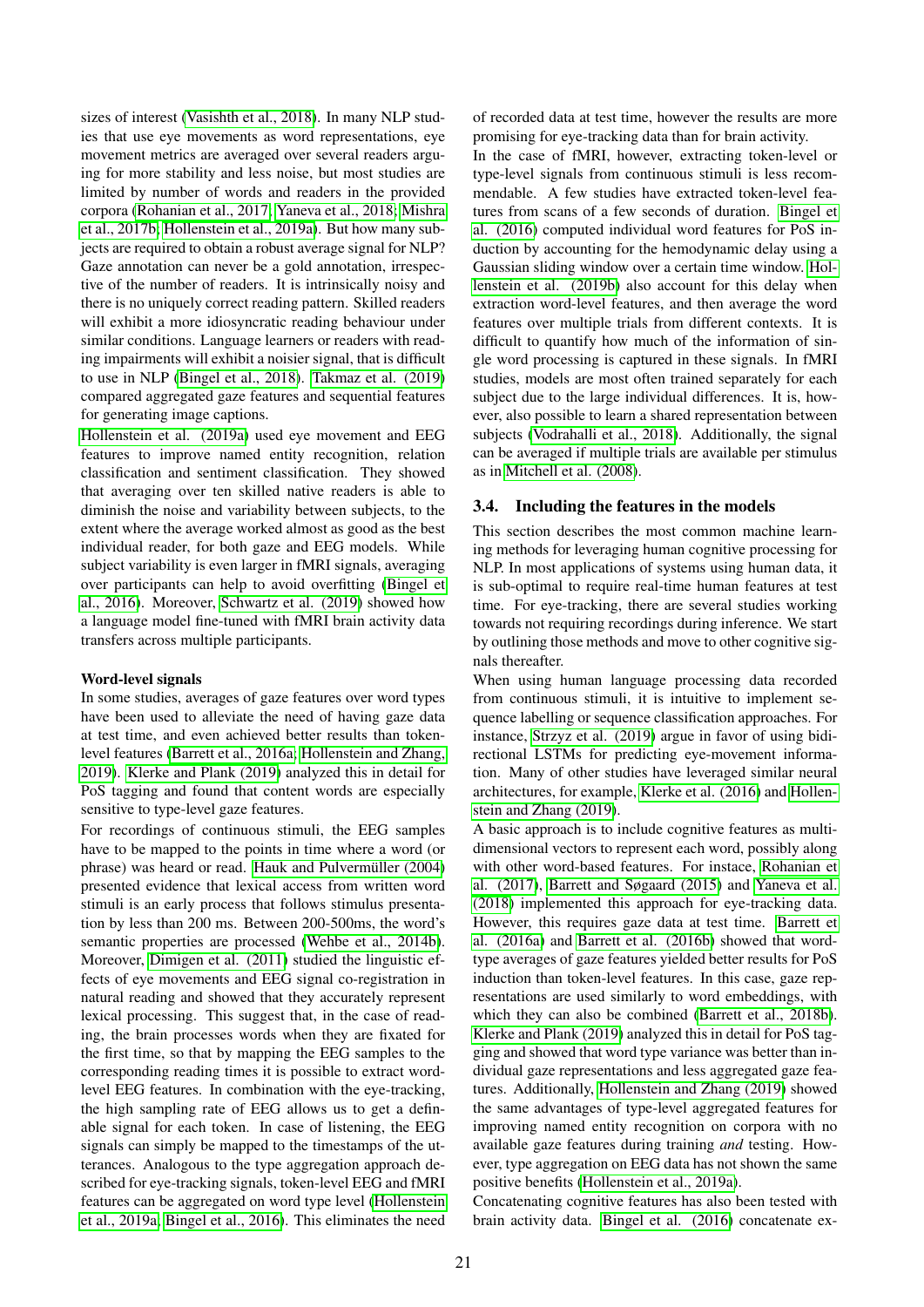sizes of interest [\(Vasishth et al., 2018\)](#page-12-12). In many NLP studies that use eye movements as word representations, eye movement metrics are averaged over several readers arguing for more stability and less noise, but most studies are limited by number of words and readers in the provided corpora [\(Rohanian et al., 2017;](#page-11-2) [Yaneva et al., 2018;](#page-12-1) [Mishra](#page-11-0) [et al., 2017b;](#page-11-0) [Hollenstein et al., 2019a\)](#page-10-0). But how many subjects are required to obtain a robust average signal for NLP? Gaze annotation can never be a gold annotation, irrespective of the number of readers. It is intrinsically noisy and there is no uniquely correct reading pattern. Skilled readers will exhibit a more idiosyncratic reading behaviour under similar conditions. Language learners or readers with reading impairments will exhibit a noisier signal, that is difficult to use in NLP [\(Bingel et al., 2018\)](#page-8-2). [Takmaz et al. \(2019\)](#page-11-24) compared aggregated gaze features and sequential features for generating image captions.

[Hollenstein et al. \(2019a\)](#page-10-0) used eye movement and EEG features to improve named entity recognition, relation classification and sentiment classification. They showed that averaging over ten skilled native readers is able to diminish the noise and variability between subjects, to the extent where the average worked almost as good as the best individual reader, for both gaze and EEG models. While subject variability is even larger in fMRI signals, averaging over participants can help to avoid overfitting [\(Bingel et](#page-8-12) [al., 2016\)](#page-8-12). Moreover, [Schwartz et al. \(2019\)](#page-11-9) showed how a language model fine-tuned with fMRI brain activity data transfers across multiple participants.

#### Word-level signals

In some studies, averages of gaze features over word types have been used to alleviate the need of having gaze data at test time, and even achieved better results than tokenlevel features [\(Barrett et al., 2016a;](#page-8-0) [Hollenstein and Zhang,](#page-10-12) [2019\)](#page-10-12). [Klerke and Plank \(2019\)](#page-10-26) analyzed this in detail for PoS tagging and found that content words are especially sensitive to type-level gaze features.

For recordings of continuous stimuli, the EEG samples have to be mapped to the points in time where a word (or phrase) was heard or read. Hauk and Pulvermüller (2004) presented evidence that lexical access from written word stimuli is an early process that follows stimulus presentation by less than 200 ms. Between 200-500ms, the word's semantic properties are processed [\(Wehbe et al., 2014b\)](#page-12-6). Moreover, [Dimigen et al. \(2011\)](#page-9-16) studied the linguistic effects of eye movements and EEG signal co-registration in natural reading and showed that they accurately represent lexical processing. This suggest that, in the case of reading, the brain processes words when they are fixated for the first time, so that by mapping the EEG samples to the corresponding reading times it is possible to extract wordlevel EEG features. In combination with the eye-tracking, the high sampling rate of EEG allows us to get a definable signal for each token. In case of listening, the EEG signals can simply be mapped to the timestamps of the utterances. Analogous to the type aggregation approach described for eye-tracking signals, token-level EEG and fMRI features can be aggregated on word type level [\(Hollenstein](#page-10-0) [et al., 2019a;](#page-10-0) [Bingel et al., 2016\)](#page-8-12). This eliminates the need of recorded data at test time, however the results are more promising for eye-tracking data than for brain activity.

In the case of fMRI, however, extracting token-level or type-level signals from continuous stimuli is less recommendable. A few studies have extracted token-level features from scans of a few seconds of duration. [Bingel et](#page-8-12) [al. \(2016\)](#page-8-12) computed individual word features for PoS induction by accounting for the hemodynamic delay using a Gaussian sliding window over a certain time window. [Hol](#page-10-14)[lenstein et al. \(2019b\)](#page-10-14) also account for this delay when extraction word-level features, and then average the word features over multiple trials from different contexts. It is difficult to quantify how much of the information of single word processing is captured in these signals. In fMRI studies, models are most often trained separately for each subject due to the large individual differences. It is, however, also possible to learn a shared representation between subjects [\(Vodrahalli et al., 2018\)](#page-12-11). Additionally, the signal can be averaged if multiple trials are available per stimulus as in [Mitchell et al. \(2008\)](#page-11-11).

# 3.4. Including the features in the models

This section describes the most common machine learning methods for leveraging human cognitive processing for NLP. In most applications of systems using human data, it is sub-optimal to require real-time human features at test time. For eye-tracking, there are several studies working towards not requiring recordings during inference. We start by outlining those methods and move to other cognitive signals thereafter.

When using human language processing data recorded from continuous stimuli, it is intuitive to implement sequence labelling or sequence classification approaches. For instance, [Strzyz et al. \(2019\)](#page-11-3) argue in favor of using bidirectional LSTMs for predicting eye-movement information. Many of other studies have leveraged similar neural architectures, for example, [Klerke et al. \(2016\)](#page-10-1) and [Hollen](#page-10-12)[stein and Zhang \(2019\)](#page-10-12).

A basic approach is to include cognitive features as multidimensional vectors to represent each word, possibly along with other word-based features. For instace, [Rohanian et](#page-11-2) [al. \(2017\)](#page-11-2), [Barrett and Søgaard \(2015\)](#page-8-20) and [Yaneva et al.](#page-12-1) [\(2018\)](#page-12-1) implemented this approach for eye-tracking data. However, this requires gaze data at test time. [Barrett et](#page-8-0) [al. \(2016a\)](#page-8-0) and [Barrett et al. \(2016b\)](#page-8-21) showed that wordtype averages of gaze features yielded better results for PoS induction than token-level features. In this case, gaze representations are used similarly to word embeddings, with which they can also be combined [\(Barrett et al., 2018b\)](#page-8-17). [Klerke and Plank \(2019\)](#page-10-26) analyzed this in detail for PoS tagging and showed that word type variance was better than individual gaze representations and less aggregated gaze features. Additionally, [Hollenstein and Zhang \(2019\)](#page-10-12) showed the same advantages of type-level aggregated features for improving named entity recognition on corpora with no available gaze features during training *and* testing. However, type aggregation on EEG data has not shown the same positive benefits [\(Hollenstein et al., 2019a\)](#page-10-0).

Concatenating cognitive features has also been tested with brain activity data. [Bingel et al. \(2016\)](#page-8-12) concatenate ex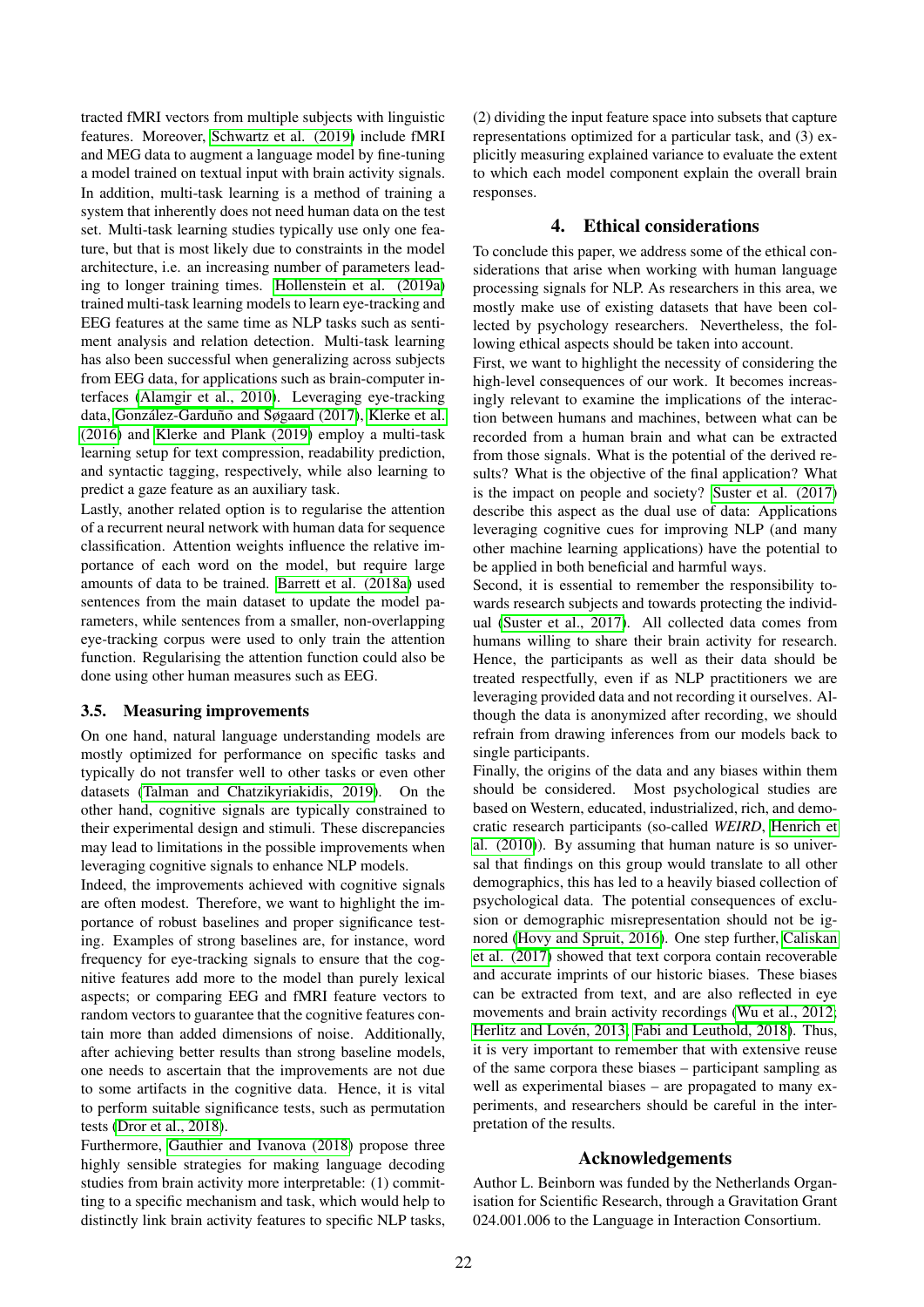tracted fMRI vectors from multiple subjects with linguistic features. Moreover, [Schwartz et al. \(2019\)](#page-11-9) include fMRI and MEG data to augment a language model by fine-tuning a model trained on textual input with brain activity signals. In addition, multi-task learning is a method of training a system that inherently does not need human data on the test set. Multi-task learning studies typically use only one feature, but that is most likely due to constraints in the model architecture, i.e. an increasing number of parameters leading to longer training times. [Hollenstein et al. \(2019a\)](#page-10-0) trained multi-task learning models to learn eye-tracking and EEG features at the same time as NLP tasks such as sentiment analysis and relation detection. Multi-task learning has also been successful when generalizing across subjects from EEG data, for applications such as brain-computer interfaces [\(Alamgir et al., 2010\)](#page-8-22). Leveraging eye-tracking data, González-Garduño and Søgaard (2017), [Klerke et al.](#page-10-1) [\(2016\)](#page-10-1) and [Klerke and Plank \(2019\)](#page-10-26) employ a multi-task learning setup for text compression, readability prediction, and syntactic tagging, respectively, while also learning to predict a gaze feature as an auxiliary task.

Lastly, another related option is to regularise the attention of a recurrent neural network with human data for sequence classification. Attention weights influence the relative importance of each word on the model, but require large amounts of data to be trained. [Barrett et al. \(2018a\)](#page-8-23) used sentences from the main dataset to update the model parameters, while sentences from a smaller, non-overlapping eye-tracking corpus were used to only train the attention function. Regularising the attention function could also be done using other human measures such as EEG.

## 3.5. Measuring improvements

On one hand, natural language understanding models are mostly optimized for performance on specific tasks and typically do not transfer well to other tasks or even other datasets [\(Talman and Chatzikyriakidis, 2019\)](#page-12-13). On the other hand, cognitive signals are typically constrained to their experimental design and stimuli. These discrepancies may lead to limitations in the possible improvements when leveraging cognitive signals to enhance NLP models.

Indeed, the improvements achieved with cognitive signals are often modest. Therefore, we want to highlight the importance of robust baselines and proper significance testing. Examples of strong baselines are, for instance, word frequency for eye-tracking signals to ensure that the cognitive features add more to the model than purely lexical aspects; or comparing EEG and fMRI feature vectors to random vectors to guarantee that the cognitive features contain more than added dimensions of noise. Additionally, after achieving better results than strong baseline models, one needs to ascertain that the improvements are not due to some artifacts in the cognitive data. Hence, it is vital to perform suitable significance tests, such as permutation tests [\(Dror et al., 2018\)](#page-9-23).

Furthermore, [Gauthier and Ivanova \(2018\)](#page-9-24) propose three highly sensible strategies for making language decoding studies from brain activity more interpretable: (1) committing to a specific mechanism and task, which would help to distinctly link brain activity features to specific NLP tasks,

(2) dividing the input feature space into subsets that capture representations optimized for a particular task, and (3) explicitly measuring explained variance to evaluate the extent to which each model component explain the overall brain responses.

## 4. Ethical considerations

To conclude this paper, we address some of the ethical considerations that arise when working with human language processing signals for NLP. As researchers in this area, we mostly make use of existing datasets that have been collected by psychology researchers. Nevertheless, the following ethical aspects should be taken into account.

First, we want to highlight the necessity of considering the high-level consequences of our work. It becomes increasingly relevant to examine the implications of the interaction between humans and machines, between what can be recorded from a human brain and what can be extracted from those signals. What is the potential of the derived results? What is the objective of the final application? What is the impact on people and society? [Suster et al. \(2017\)](#page-11-25) describe this aspect as the dual use of data: Applications leveraging cognitive cues for improving NLP (and many other machine learning applications) have the potential to be applied in both beneficial and harmful ways.

Second, it is essential to remember the responsibility towards research subjects and towards protecting the individual [\(Suster et al., 2017\)](#page-11-25). All collected data comes from humans willing to share their brain activity for research. Hence, the participants as well as their data should be treated respectfully, even if as NLP practitioners we are leveraging provided data and not recording it ourselves. Although the data is anonymized after recording, we should refrain from drawing inferences from our models back to single participants.

Finally, the origins of the data and any biases within them should be considered. Most psychological studies are based on Western, educated, industrialized, rich, and democratic research participants (so-called *WEIRD*, [Henrich et](#page-10-27) [al. \(2010\)](#page-10-27)). By assuming that human nature is so universal that findings on this group would translate to all other demographics, this has led to a heavily biased collection of psychological data. The potential consequences of exclusion or demographic misrepresentation should not be ignored [\(Hovy and Spruit, 2016\)](#page-10-28). One step further, [Caliskan](#page-8-24) [et al. \(2017\)](#page-8-24) showed that text corpora contain recoverable and accurate imprints of our historic biases. These biases can be extracted from text, and are also reflected in eye movements and brain activity recordings [\(Wu et al., 2012;](#page-12-14) Herlitz and Lovén, 2013; [Fabi and Leuthold, 2018\)](#page-9-25). Thus, it is very important to remember that with extensive reuse of the same corpora these biases – participant sampling as well as experimental biases – are propagated to many experiments, and researchers should be careful in the interpretation of the results.

## Acknowledgements

Author L. Beinborn was funded by the Netherlands Organisation for Scientific Research, through a Gravitation Grant 024.001.006 to the Language in Interaction Consortium.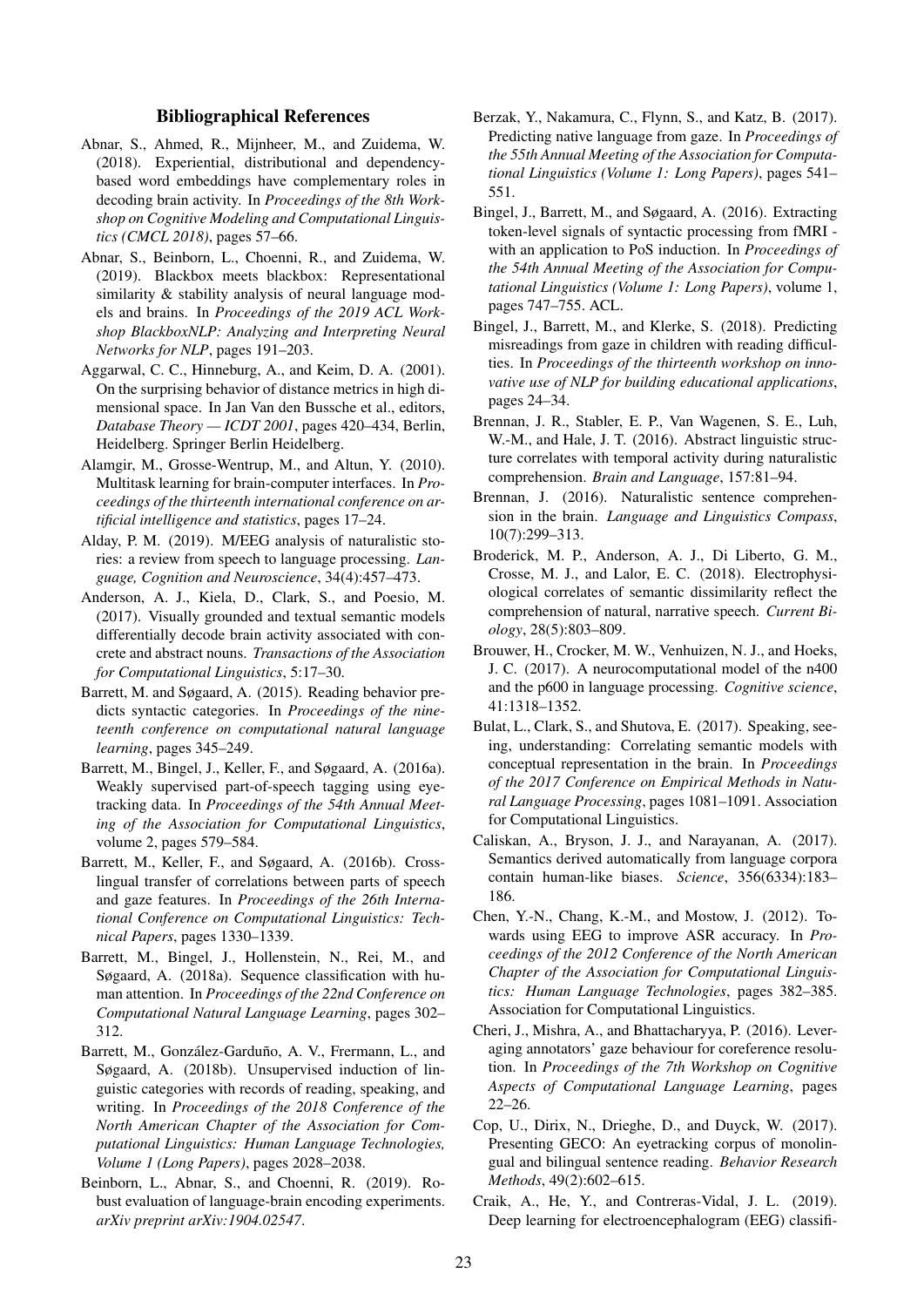## Bibliographical References

- <span id="page-8-8"></span>Abnar, S., Ahmed, R., Mijnheer, M., and Zuidema, W. (2018). Experiential, distributional and dependencybased word embeddings have complementary roles in decoding brain activity. In *Proceedings of the 8th Workshop on Cognitive Modeling and Computational Linguistics (CMCL 2018)*, pages 57–66.
- <span id="page-8-14"></span>Abnar, S., Beinborn, L., Choenni, R., and Zuidema, W. (2019). Blackbox meets blackbox: Representational similarity & stability analysis of neural language models and brains. In *Proceedings of the 2019 ACL Workshop BlackboxNLP: Analyzing and Interpreting Neural Networks for NLP*, pages 191–203.
- <span id="page-8-15"></span>Aggarwal, C. C., Hinneburg, A., and Keim, D. A. (2001). On the surprising behavior of distance metrics in high dimensional space. In Jan Van den Bussche et al., editors, *Database Theory — ICDT 2001*, pages 420–434, Berlin, Heidelberg. Springer Berlin Heidelberg.
- <span id="page-8-22"></span>Alamgir, M., Grosse-Wentrup, M., and Altun, Y. (2010). Multitask learning for brain-computer interfaces. In *Proceedings of the thirteenth international conference on artificial intelligence and statistics*, pages 17–24.
- <span id="page-8-6"></span>Alday, P. M. (2019). M/EEG analysis of naturalistic stories: a review from speech to language processing. *Language, Cognition and Neuroscience*, 34(4):457–473.
- <span id="page-8-9"></span>Anderson, A. J., Kiela, D., Clark, S., and Poesio, M. (2017). Visually grounded and textual semantic models differentially decode brain activity associated with concrete and abstract nouns. *Transactions of the Association for Computational Linguistics*, 5:17–30.
- <span id="page-8-20"></span>Barrett, M. and Søgaard, A. (2015). Reading behavior predicts syntactic categories. In *Proceedings of the nineteenth conference on computational natural language learning*, pages 345–249.
- <span id="page-8-0"></span>Barrett, M., Bingel, J., Keller, F., and Søgaard, A. (2016a). Weakly supervised part-of-speech tagging using eyetracking data. In *Proceedings of the 54th Annual Meeting of the Association for Computational Linguistics*, volume 2, pages 579–584.
- <span id="page-8-21"></span>Barrett, M., Keller, F., and Søgaard, A. (2016b). Crosslingual transfer of correlations between parts of speech and gaze features. In *Proceedings of the 26th International Conference on Computational Linguistics: Technical Papers*, pages 1330–1339.
- <span id="page-8-23"></span>Barrett, M., Bingel, J., Hollenstein, N., Rei, M., and Søgaard, A. (2018a). Sequence classification with human attention. In *Proceedings of the 22nd Conference on Computational Natural Language Learning*, pages 302– 312.
- <span id="page-8-17"></span>Barrett, M., González-Garduño, A. V., Frermann, L., and Søgaard, A. (2018b). Unsupervised induction of linguistic categories with records of reading, speaking, and writing. In *Proceedings of the 2018 Conference of the North American Chapter of the Association for Computational Linguistics: Human Language Technologies, Volume 1 (Long Papers)*, pages 2028–2038.
- <span id="page-8-16"></span>Beinborn, L., Abnar, S., and Choenni, R. (2019). Robust evaluation of language-brain encoding experiments. *arXiv preprint arXiv:1904.02547*.
- <span id="page-8-3"></span>Berzak, Y., Nakamura, C., Flynn, S., and Katz, B. (2017). Predicting native language from gaze. In *Proceedings of the 55th Annual Meeting of the Association for Computational Linguistics (Volume 1: Long Papers)*, pages 541– 551.
- <span id="page-8-12"></span>Bingel, J., Barrett, M., and Søgaard, A. (2016). Extracting token-level signals of syntactic processing from fMRI with an application to PoS induction. In *Proceedings of the 54th Annual Meeting of the Association for Computational Linguistics (Volume 1: Long Papers)*, volume 1, pages 747–755. ACL.
- <span id="page-8-2"></span>Bingel, J., Barrett, M., and Klerke, S. (2018). Predicting misreadings from gaze in children with reading difficulties. In *Proceedings of the thirteenth workshop on innovative use of NLP for building educational applications*, pages 24–34.
- <span id="page-8-13"></span>Brennan, J. R., Stabler, E. P., Van Wagenen, S. E., Luh, W.-M., and Hale, J. T. (2016). Abstract linguistic structure correlates with temporal activity during naturalistic comprehension. *Brain and Language*, 157:81–94.
- <span id="page-8-11"></span>Brennan, J. (2016). Naturalistic sentence comprehension in the brain. *Language and Linguistics Compass*, 10(7):299–313.
- <span id="page-8-18"></span>Broderick, M. P., Anderson, A. J., Di Liberto, G. M., Crosse, M. J., and Lalor, E. C. (2018). Electrophysiological correlates of semantic dissimilarity reflect the comprehension of natural, narrative speech. *Current Biology*, 28(5):803–809.
- <span id="page-8-7"></span>Brouwer, H., Crocker, M. W., Venhuizen, N. J., and Hoeks, J. C. (2017). A neurocomputational model of the n400 and the p600 in language processing. *Cognitive science*, 41:1318–1352.
- <span id="page-8-10"></span>Bulat, L., Clark, S., and Shutova, E. (2017). Speaking, seeing, understanding: Correlating semantic models with conceptual representation in the brain. In *Proceedings of the 2017 Conference on Empirical Methods in Natural Language Processing*, pages 1081–1091. Association for Computational Linguistics.
- <span id="page-8-24"></span>Caliskan, A., Bryson, J. J., and Narayanan, A. (2017). Semantics derived automatically from language corpora contain human-like biases. *Science*, 356(6334):183– 186.
- <span id="page-8-4"></span>Chen, Y.-N., Chang, K.-M., and Mostow, J. (2012). Towards using EEG to improve ASR accuracy. In *Proceedings of the 2012 Conference of the North American Chapter of the Association for Computational Linguistics: Human Language Technologies*, pages 382–385. Association for Computational Linguistics.
- <span id="page-8-1"></span>Cheri, J., Mishra, A., and Bhattacharyya, P. (2016). Leveraging annotators' gaze behaviour for coreference resolution. In *Proceedings of the 7th Workshop on Cognitive Aspects of Computational Language Learning*, pages 22–26.
- <span id="page-8-19"></span>Cop, U., Dirix, N., Drieghe, D., and Duyck, W. (2017). Presenting GECO: An eyetracking corpus of monolingual and bilingual sentence reading. *Behavior Research Methods*, 49(2):602–615.
- <span id="page-8-5"></span>Craik, A., He, Y., and Contreras-Vidal, J. L. (2019). Deep learning for electroencephalogram (EEG) classifi-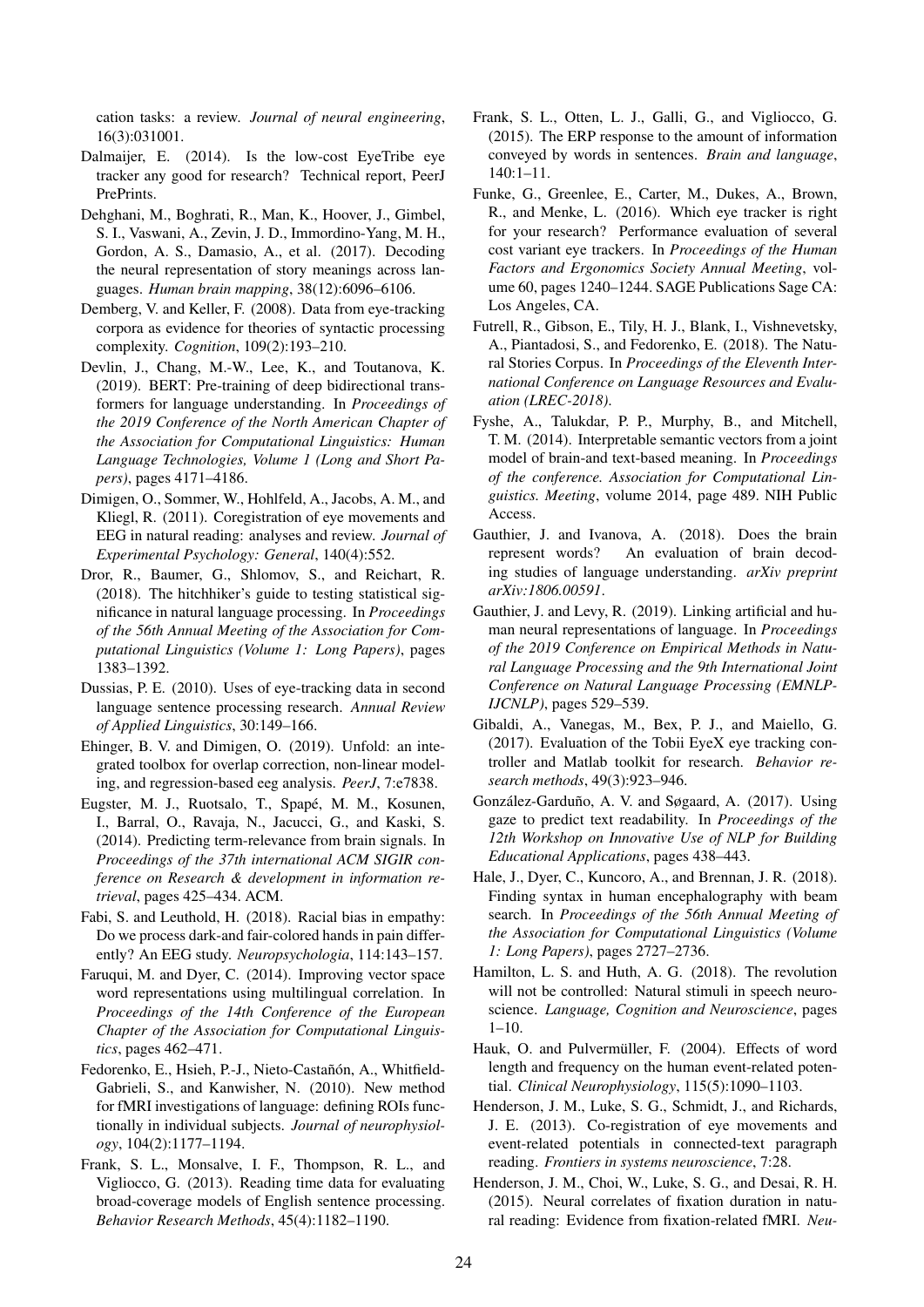cation tasks: a review. *Journal of neural engineering*, 16(3):031001.

- <span id="page-9-1"></span>Dalmaijer, E. (2014). Is the low-cost EyeTribe eye tracker any good for research? Technical report, PeerJ PrePrints.
- <span id="page-9-8"></span>Dehghani, M., Boghrati, R., Man, K., Hoover, J., Gimbel, S. I., Vaswani, A., Zevin, J. D., Immordino-Yang, M. H., Gordon, A. S., Damasio, A., et al. (2017). Decoding the neural representation of story meanings across languages. *Human brain mapping*, 38(12):6096–6106.
- <span id="page-9-20"></span>Demberg, V. and Keller, F. (2008). Data from eye-tracking corpora as evidence for theories of syntactic processing complexity. *Cognition*, 109(2):193–210.
- <span id="page-9-4"></span>Devlin, J., Chang, M.-W., Lee, K., and Toutanova, K. (2019). BERT: Pre-training of deep bidirectional transformers for language understanding. In *Proceedings of the 2019 Conference of the North American Chapter of the Association for Computational Linguistics: Human Language Technologies, Volume 1 (Long and Short Papers)*, pages 4171–4186.
- <span id="page-9-16"></span>Dimigen, O., Sommer, W., Hohlfeld, A., Jacobs, A. M., and Kliegl, R. (2011). Coregistration of eye movements and EEG in natural reading: analyses and review. *Journal of Experimental Psychology: General*, 140(4):552.
- <span id="page-9-23"></span>Dror, R., Baumer, G., Shlomov, S., and Reichart, R. (2018). The hitchhiker's guide to testing statistical significance in natural language processing. In *Proceedings of the 56th Annual Meeting of the Association for Computational Linguistics (Volume 1: Long Papers)*, pages 1383–1392.
- <span id="page-9-19"></span>Dussias, P. E. (2010). Uses of eye-tracking data in second language sentence processing research. *Annual Review of Applied Linguistics*, 30:149–166.
- <span id="page-9-5"></span>Ehinger, B. V. and Dimigen, O. (2019). Unfold: an integrated toolbox for overlap correction, non-linear modeling, and regression-based eeg analysis. *PeerJ*, 7:e7838.
- <span id="page-9-6"></span>Eugster, M. J., Ruotsalo, T., Spapé, M. M., Kosunen, I., Barral, O., Ravaja, N., Jacucci, G., and Kaski, S. (2014). Predicting term-relevance from brain signals. In *Proceedings of the 37th international ACM SIGIR conference on Research & development in information retrieval*, pages 425–434. ACM.
- <span id="page-9-25"></span>Fabi, S. and Leuthold, H. (2018). Racial bias in empathy: Do we process dark-and fair-colored hands in pain differently? An EEG study. *Neuropsychologia*, 114:143–157.
- <span id="page-9-12"></span>Faruqui, M. and Dyer, C. (2014). Improving vector space word representations using multilingual correlation. In *Proceedings of the 14th Conference of the European Chapter of the Association for Computational Linguistics*, pages 462–471.
- <span id="page-9-10"></span>Fedorenko, E., Hsieh, P.-J., Nieto-Castañón, A., Whitfield-Gabrieli, S., and Kanwisher, N. (2010). New method for fMRI investigations of language: defining ROIs functionally in individual subjects. *Journal of neurophysiology*, 104(2):1177–1194.
- <span id="page-9-13"></span>Frank, S. L., Monsalve, I. F., Thompson, R. L., and Vigliocco, G. (2013). Reading time data for evaluating broad-coverage models of English sentence processing. *Behavior Research Methods*, 45(4):1182–1190.
- <span id="page-9-14"></span>Frank, S. L., Otten, L. J., Galli, G., and Vigliocco, G. (2015). The ERP response to the amount of information conveyed by words in sentences. *Brain and language*, 140:1–11.
- <span id="page-9-0"></span>Funke, G., Greenlee, E., Carter, M., Dukes, A., Brown, R., and Menke, L. (2016). Which eye tracker is right for your research? Performance evaluation of several cost variant eye trackers. In *Proceedings of the Human Factors and Ergonomics Society Annual Meeting*, volume 60, pages 1240–1244. SAGE Publications Sage CA: Los Angeles, CA.
- <span id="page-9-15"></span>Futrell, R., Gibson, E., Tily, H. J., Blank, I., Vishnevetsky, A., Piantadosi, S., and Fedorenko, E. (2018). The Natural Stories Corpus. In *Proceedings of the Eleventh International Conference on Language Resources and Evaluation (LREC-2018)*.
- <span id="page-9-7"></span>Fyshe, A., Talukdar, P. P., Murphy, B., and Mitchell, T. M. (2014). Interpretable semantic vectors from a joint model of brain-and text-based meaning. In *Proceedings of the conference. Association for Computational Linguistics. Meeting*, volume 2014, page 489. NIH Public Access.
- <span id="page-9-24"></span>Gauthier, J. and Ivanova, A. (2018). Does the brain represent words? An evaluation of brain decoding studies of language understanding. *arXiv preprint arXiv:1806.00591*.
- <span id="page-9-9"></span>Gauthier, J. and Levy, R. (2019). Linking artificial and human neural representations of language. In *Proceedings of the 2019 Conference on Empirical Methods in Natural Language Processing and the 9th International Joint Conference on Natural Language Processing (EMNLP-IJCNLP)*, pages 529–539.
- <span id="page-9-2"></span>Gibaldi, A., Vanegas, M., Bex, P. J., and Maiello, G. (2017). Evaluation of the Tobii EyeX eye tracking controller and Matlab toolkit for research. *Behavior research methods*, 49(3):923–946.
- <span id="page-9-22"></span>González-Garduño, A. V. and Søgaard, A. (2017). Using gaze to predict text readability. In *Proceedings of the 12th Workshop on Innovative Use of NLP for Building Educational Applications*, pages 438–443.
- <span id="page-9-3"></span>Hale, J., Dyer, C., Kuncoro, A., and Brennan, J. R. (2018). Finding syntax in human encephalography with beam search. In *Proceedings of the 56th Annual Meeting of the Association for Computational Linguistics (Volume 1: Long Papers)*, pages 2727–2736.
- <span id="page-9-11"></span>Hamilton, L. S. and Huth, A. G. (2018). The revolution will not be controlled: Natural stimuli in speech neuroscience. *Language, Cognition and Neuroscience*, pages 1–10.
- <span id="page-9-21"></span>Hauk, O. and Pulvermüller, F. (2004). Effects of word length and frequency on the human event-related potential. *Clinical Neurophysiology*, 115(5):1090–1103.
- <span id="page-9-17"></span>Henderson, J. M., Luke, S. G., Schmidt, J., and Richards, J. E. (2013). Co-registration of eye movements and event-related potentials in connected-text paragraph reading. *Frontiers in systems neuroscience*, 7:28.
- <span id="page-9-18"></span>Henderson, J. M., Choi, W., Luke, S. G., and Desai, R. H. (2015). Neural correlates of fixation duration in natural reading: Evidence from fixation-related fMRI. *Neu-*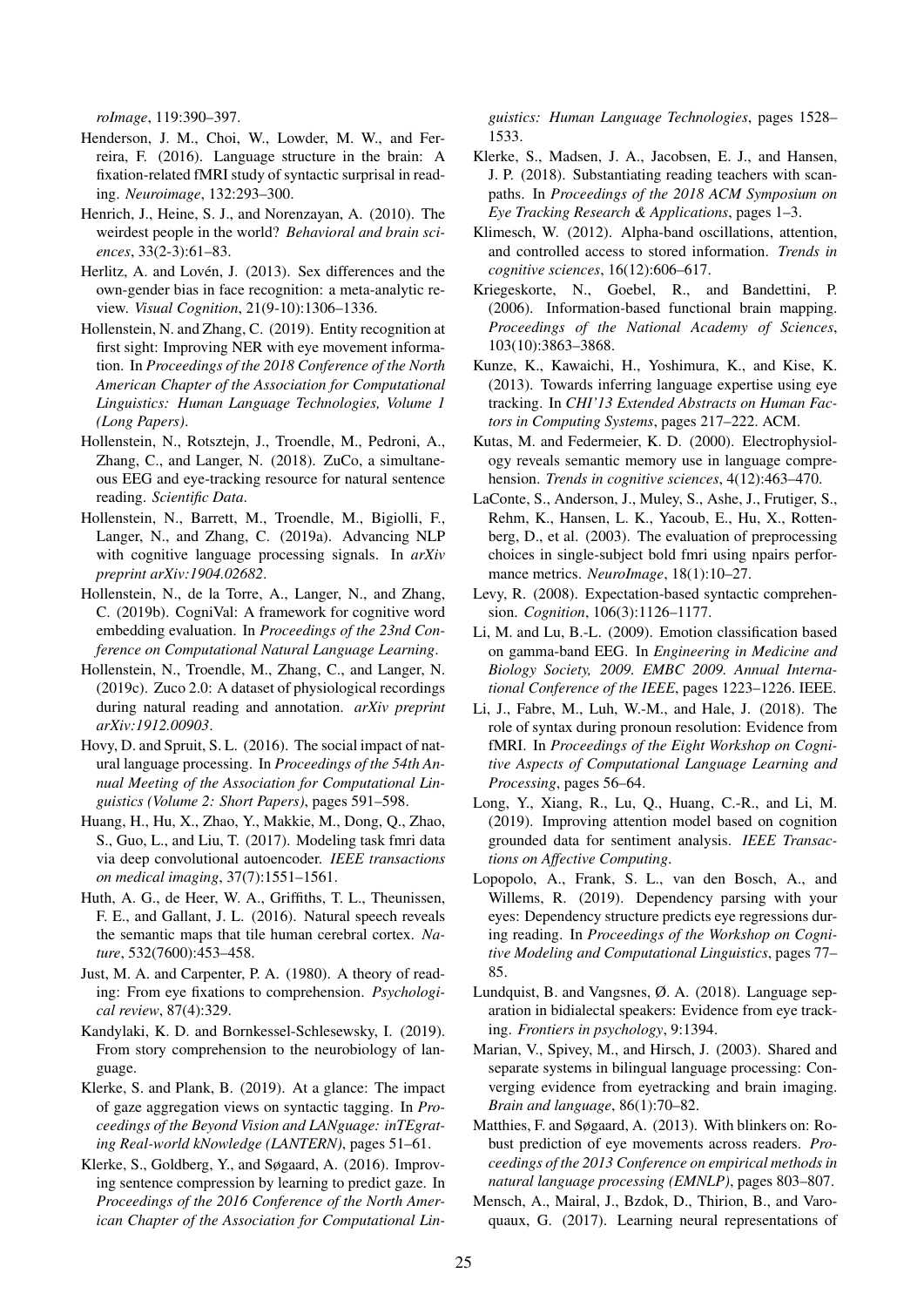*roImage*, 119:390–397.

- <span id="page-10-18"></span>Henderson, J. M., Choi, W., Lowder, M. W., and Ferreira, F. (2016). Language structure in the brain: A fixation-related fMRI study of syntactic surprisal in reading. *Neuroimage*, 132:293–300.
- <span id="page-10-27"></span>Henrich, J., Heine, S. J., and Norenzayan, A. (2010). The weirdest people in the world? *Behavioral and brain sciences*, 33(2-3):61–83.
- <span id="page-10-29"></span>Herlitz, A. and Lovén, J. (2013). Sex differences and the own-gender bias in face recognition: a meta-analytic review. *Visual Cognition*, 21(9-10):1306–1336.
- <span id="page-10-12"></span>Hollenstein, N. and Zhang, C. (2019). Entity recognition at first sight: Improving NER with eye movement information. In *Proceedings of the 2018 Conference of the North American Chapter of the Association for Computational Linguistics: Human Language Technologies, Volume 1 (Long Papers)*.
- <span id="page-10-16"></span>Hollenstein, N., Rotsztejn, J., Troendle, M., Pedroni, A., Zhang, C., and Langer, N. (2018). ZuCo, a simultaneous EEG and eye-tracking resource for natural sentence reading. *Scientific Data*.
- <span id="page-10-0"></span>Hollenstein, N., Barrett, M., Troendle, M., Bigiolli, F., Langer, N., and Zhang, C. (2019a). Advancing NLP with cognitive language processing signals. In *arXiv preprint arXiv:1904.02682*.
- <span id="page-10-14"></span>Hollenstein, N., de la Torre, A., Langer, N., and Zhang, C. (2019b). CogniVal: A framework for cognitive word embedding evaluation. In *Proceedings of the 23nd Conference on Computational Natural Language Learning*.
- <span id="page-10-17"></span>Hollenstein, N., Troendle, M., Zhang, C., and Langer, N. (2019c). Zuco 2.0: A dataset of physiological recordings during natural reading and annotation. *arXiv preprint arXiv:1912.00903*.
- <span id="page-10-28"></span>Hovy, D. and Spruit, S. L. (2016). The social impact of natural language processing. In *Proceedings of the 54th Annual Meeting of the Association for Computational Linguistics (Volume 2: Short Papers)*, pages 591–598.
- <span id="page-10-11"></span>Huang, H., Hu, X., Zhao, Y., Makkie, M., Dong, Q., Zhao, S., Guo, L., and Liu, T. (2017). Modeling task fmri data via deep convolutional autoencoder. *IEEE transactions on medical imaging*, 37(7):1551–1561.
- <span id="page-10-7"></span>Huth, A. G., de Heer, W. A., Griffiths, T. L., Theunissen, F. E., and Gallant, J. L. (2016). Natural speech reveals the semantic maps that tile human cerebral cortex. *Nature*, 532(7600):453–458.
- <span id="page-10-21"></span>Just, M. A. and Carpenter, P. A. (1980). A theory of reading: From eye fixations to comprehension. *Psychological review*, 87(4):329.
- <span id="page-10-15"></span>Kandylaki, K. D. and Bornkessel-Schlesewsky, I. (2019). From story comprehension to the neurobiology of language.
- <span id="page-10-26"></span>Klerke, S. and Plank, B. (2019). At a glance: The impact of gaze aggregation views on syntactic tagging. In *Proceedings of the Beyond Vision and LANguage: inTEgrating Real-world kNowledge (LANTERN)*, pages 51–61.
- <span id="page-10-1"></span>Klerke, S., Goldberg, Y., and Søgaard, A. (2016). Improving sentence compression by learning to predict gaze. In *Proceedings of the 2016 Conference of the North American Chapter of the Association for Computational Lin-*

*guistics: Human Language Technologies*, pages 1528– 1533.

- <span id="page-10-3"></span>Klerke, S., Madsen, J. A., Jacobsen, E. J., and Hansen, J. P. (2018). Substantiating reading teachers with scanpaths. In *Proceedings of the 2018 ACM Symposium on Eye Tracking Research & Applications*, pages 1–3.
- <span id="page-10-4"></span>Klimesch, W. (2012). Alpha-band oscillations, attention, and controlled access to stored information. *Trends in cognitive sciences*, 16(12):606–617.
- <span id="page-10-9"></span>Kriegeskorte, N., Goebel, R., and Bandettini, P. (2006). Information-based functional brain mapping. *Proceedings of the National Academy of Sciences*, 103(10):3863–3868.
- <span id="page-10-2"></span>Kunze, K., Kawaichi, H., Yoshimura, K., and Kise, K. (2013). Towards inferring language expertise using eye tracking. In *CHI'13 Extended Abstracts on Human Factors in Computing Systems*, pages 217–222. ACM.
- <span id="page-10-6"></span>Kutas, M. and Federmeier, K. D. (2000). Electrophysiology reveals semantic memory use in language comprehension. *Trends in cognitive sciences*, 4(12):463–470.
- <span id="page-10-10"></span>LaConte, S., Anderson, J., Muley, S., Ashe, J., Frutiger, S., Rehm, K., Hansen, L. K., Yacoub, E., Hu, X., Rottenberg, D., et al. (2003). The evaluation of preprocessing choices in single-subject bold fmri using npairs performance metrics. *NeuroImage*, 18(1):10–27.
- <span id="page-10-22"></span>Levy, R. (2008). Expectation-based syntactic comprehension. *Cognition*, 106(3):1126–1177.
- <span id="page-10-5"></span>Li, M. and Lu, B.-L. (2009). Emotion classification based on gamma-band EEG. In *Engineering in Medicine and Biology Society, 2009. EMBC 2009. Annual International Conference of the IEEE*, pages 1223–1226. IEEE.
- <span id="page-10-8"></span>Li, J., Fabre, M., Luh, W.-M., and Hale, J. (2018). The role of syntax during pronoun resolution: Evidence from fMRI. In *Proceedings of the Eight Workshop on Cognitive Aspects of Computational Language Learning and Processing*, pages 56–64.
- <span id="page-10-25"></span>Long, Y., Xiang, R., Lu, Q., Huang, C.-R., and Li, M. (2019). Improving attention model based on cognition grounded data for sentiment analysis. *IEEE Transactions on Affective Computing*.
- <span id="page-10-23"></span>Lopopolo, A., Frank, S. L., van den Bosch, A., and Willems, R. (2019). Dependency parsing with your eyes: Dependency structure predicts eye regressions during reading. In *Proceedings of the Workshop on Cognitive Modeling and Computational Linguistics*, pages 77– 85.
- <span id="page-10-20"></span>Lundquist, B. and Vangsnes, Ø. A. (2018). Language separation in bidialectal speakers: Evidence from eye tracking. *Frontiers in psychology*, 9:1394.
- <span id="page-10-19"></span>Marian, V., Spivey, M., and Hirsch, J. (2003). Shared and separate systems in bilingual language processing: Converging evidence from eyetracking and brain imaging. *Brain and language*, 86(1):70–82.
- <span id="page-10-24"></span>Matthies, F. and Søgaard, A. (2013). With blinkers on: Robust prediction of eye movements across readers. *Proceedings of the 2013 Conference on empirical methods in natural language processing (EMNLP)*, pages 803–807.
- <span id="page-10-13"></span>Mensch, A., Mairal, J., Bzdok, D., Thirion, B., and Varoquaux, G. (2017). Learning neural representations of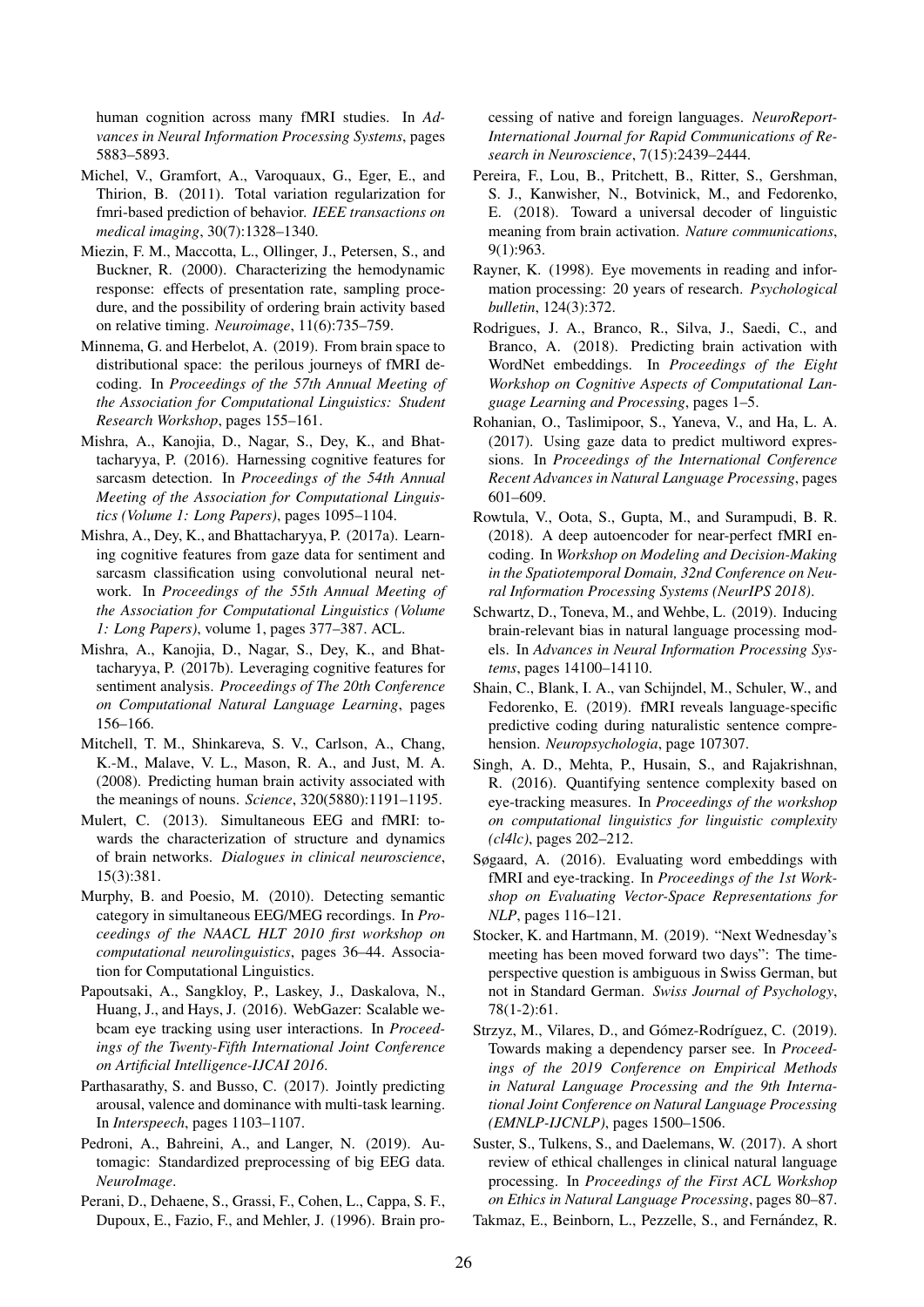human cognition across many fMRI studies. In *Advances in Neural Information Processing Systems*, pages 5883–5893.

- <span id="page-11-16"></span>Michel, V., Gramfort, A., Varoquaux, G., Eger, E., and Thirion, B. (2011). Total variation regularization for fmri-based prediction of behavior. *IEEE transactions on medical imaging*, 30(7):1328–1340.
- <span id="page-11-14"></span>Miezin, F. M., Maccotta, L., Ollinger, J., Petersen, S., and Buckner, R. (2000). Characterizing the hemodynamic response: effects of presentation rate, sampling procedure, and the possibility of ordering brain activity based on relative timing. *Neuroimage*, 11(6):735–759.
- <span id="page-11-18"></span>Minnema, G. and Herbelot, A. (2019). From brain space to distributional space: the perilous journeys of fMRI decoding. In *Proceedings of the 57th Annual Meeting of the Association for Computational Linguistics: Student Research Workshop*, pages 155–161.
- <span id="page-11-1"></span>Mishra, A., Kanojia, D., Nagar, S., Dey, K., and Bhattacharyya, P. (2016). Harnessing cognitive features for sarcasm detection. In *Proceedings of the 54th Annual Meeting of the Association for Computational Linguistics (Volume 1: Long Papers)*, pages 1095–1104.
- <span id="page-11-5"></span>Mishra, A., Dey, K., and Bhattacharyya, P. (2017a). Learning cognitive features from gaze data for sentiment and sarcasm classification using convolutional neural network. In *Proceedings of the 55th Annual Meeting of the Association for Computational Linguistics (Volume 1: Long Papers)*, volume 1, pages 377–387. ACL.
- <span id="page-11-0"></span>Mishra, A., Kanojia, D., Nagar, S., Dey, K., and Bhattacharyya, P. (2017b). Leveraging cognitive features for sentiment analysis. *Proceedings of The 20th Conference on Computational Natural Language Learning*, pages 156–166.
- <span id="page-11-11"></span>Mitchell, T. M., Shinkareva, S. V., Carlson, A., Chang, K.-M., Malave, V. L., Mason, R. A., and Just, M. A. (2008). Predicting human brain activity associated with the meanings of nouns. *Science*, 320(5880):1191–1195.
- <span id="page-11-19"></span>Mulert, C. (2013). Simultaneous EEG and fMRI: towards the characterization of structure and dynamics of brain networks. *Dialogues in clinical neuroscience*, 15(3):381.
- <span id="page-11-8"></span>Murphy, B. and Poesio, M. (2010). Detecting semantic category in simultaneous EEG/MEG recordings. In *Proceedings of the NAACL HLT 2010 first workshop on computational neurolinguistics*, pages 36–44. Association for Computational Linguistics.
- <span id="page-11-6"></span>Papoutsaki, A., Sangkloy, P., Laskey, J., Daskalova, N., Huang, J., and Hays, J. (2016). WebGazer: Scalable webcam eye tracking using user interactions. In *Proceedings of the Twenty-Fifth International Joint Conference on Artificial Intelligence-IJCAI 2016*.
- <span id="page-11-7"></span>Parthasarathy, S. and Busso, C. (2017). Jointly predicting arousal, valence and dominance with multi-task learning. In *Interspeech*, pages 1103–1107.
- <span id="page-11-10"></span>Pedroni, A., Bahreini, A., and Langer, N. (2019). Automagic: Standardized preprocessing of big EEG data. *NeuroImage*.
- <span id="page-11-20"></span>Perani, D., Dehaene, S., Grassi, F., Cohen, L., Cappa, S. F., Dupoux, E., Fazio, F., and Mehler, J. (1996). Brain pro-

cessing of native and foreign languages. *NeuroReport-International Journal for Rapid Communications of Research in Neuroscience*, 7(15):2439–2444.

- <span id="page-11-13"></span>Pereira, F., Lou, B., Pritchett, B., Ritter, S., Gershman, S. J., Kanwisher, N., Botvinick, M., and Fedorenko, E. (2018). Toward a universal decoder of linguistic meaning from brain activation. *Nature communications*, 9(1):963.
- <span id="page-11-4"></span>Rayner, K. (1998). Eye movements in reading and information processing: 20 years of research. *Psychological bulletin*, 124(3):372.
- <span id="page-11-23"></span>Rodrigues, J. A., Branco, R., Silva, J., Saedi, C., and Branco, A. (2018). Predicting brain activation with WordNet embeddings. In *Proceedings of the Eight Workshop on Cognitive Aspects of Computational Language Learning and Processing*, pages 1–5.
- <span id="page-11-2"></span>Rohanian, O., Taslimipoor, S., Yaneva, V., and Ha, L. A. (2017). Using gaze data to predict multiword expressions. In *Proceedings of the International Conference Recent Advances in Natural Language Processing*, pages 601–609.
- <span id="page-11-17"></span>Rowtula, V., Oota, S., Gupta, M., and Surampudi, B. R. (2018). A deep autoencoder for near-perfect fMRI encoding. In *Workshop on Modeling and Decision-Making in the Spatiotemporal Domain, 32nd Conference on Neural Information Processing Systems (NeurIPS 2018)*.
- <span id="page-11-9"></span>Schwartz, D., Toneva, M., and Wehbe, L. (2019). Inducing brain-relevant bias in natural language processing models. In *Advances in Neural Information Processing Systems*, pages 14100–14110.
- <span id="page-11-15"></span>Shain, C., Blank, I. A., van Schijndel, M., Schuler, W., and Fedorenko, E. (2019). fMRI reveals language-specific predictive coding during naturalistic sentence comprehension. *Neuropsychologia*, page 107307.
- <span id="page-11-22"></span>Singh, A. D., Mehta, P., Husain, S., and Rajakrishnan, R. (2016). Quantifying sentence complexity based on eye-tracking measures. In *Proceedings of the workshop on computational linguistics for linguistic complexity (cl4lc)*, pages 202–212.
- <span id="page-11-12"></span>Søgaard, A. (2016). Evaluating word embeddings with fMRI and eye-tracking. In *Proceedings of the 1st Workshop on Evaluating Vector-Space Representations for NLP*, pages 116–121.
- <span id="page-11-21"></span>Stocker, K. and Hartmann, M. (2019). "Next Wednesday's meeting has been moved forward two days": The timeperspective question is ambiguous in Swiss German, but not in Standard German. *Swiss Journal of Psychology*, 78(1-2):61.
- <span id="page-11-3"></span>Strzyz, M., Vilares, D., and Gómez-Rodríguez, C. (2019). Towards making a dependency parser see. In *Proceedings of the 2019 Conference on Empirical Methods in Natural Language Processing and the 9th International Joint Conference on Natural Language Processing (EMNLP-IJCNLP)*, pages 1500–1506.
- <span id="page-11-25"></span>Suster, S., Tulkens, S., and Daelemans, W. (2017). A short review of ethical challenges in clinical natural language processing. In *Proceedings of the First ACL Workshop on Ethics in Natural Language Processing*, pages 80–87.
- <span id="page-11-24"></span>Takmaz, E., Beinborn, L., Pezzelle, S., and Fernández, R.